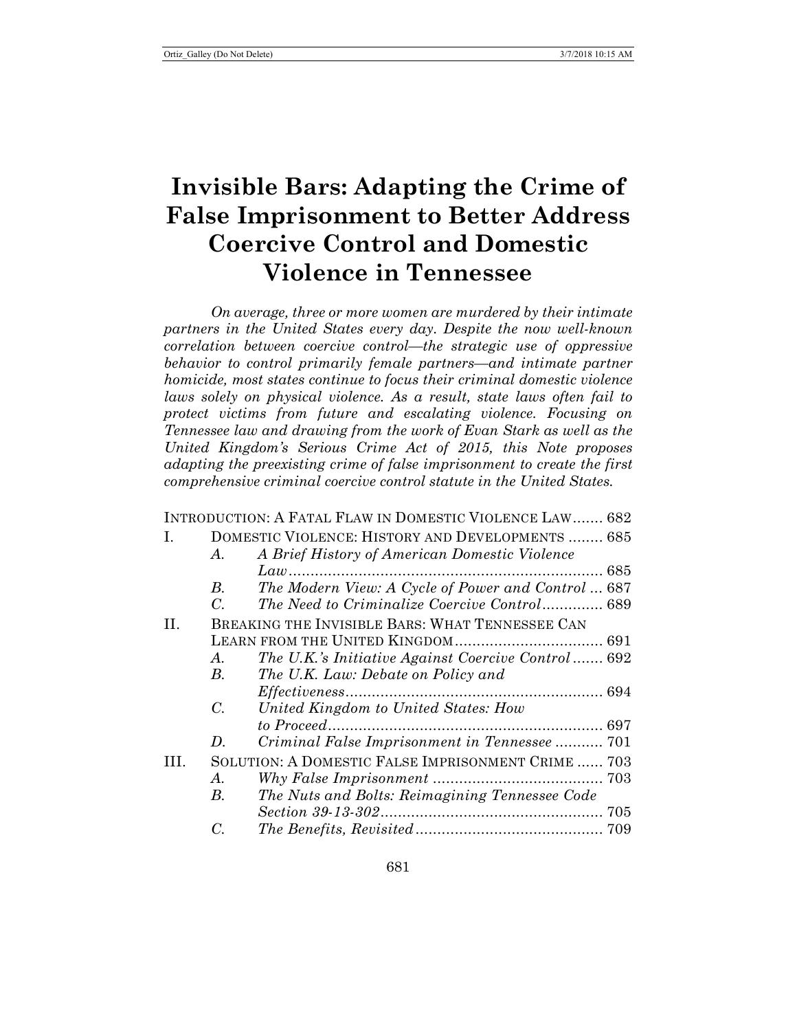# **Invisible Bars: Adapting the Crime of False Imprisonment to Better Address Coercive Control and Domestic Violence in Tennessee**

*On average, three or more women are murdered by their intimate partners in the United States every day. Despite the now well-known correlation between coercive control—the strategic use of oppressive behavior to control primarily female partners—and intimate partner homicide, most states continue to focus their criminal domestic violence laws solely on physical violence. As a result, state laws often fail to protect victims from future and escalating violence. Focusing on Tennessee law and drawing from the work of Evan Stark as well as the United Kingdom's Serious Crime Act of 2015, this Note proposes adapting the preexisting crime of false imprisonment to create the first comprehensive criminal coercive control statute in the United States.*

|     |                                                    | INTRODUCTION: A FATAL FLAW IN DOMESTIC VIOLENCE LAW 682 |  |  |  |
|-----|----------------------------------------------------|---------------------------------------------------------|--|--|--|
| L.  |                                                    | DOMESTIC VIOLENCE: HISTORY AND DEVELOPMENTS  685        |  |  |  |
|     | A.                                                 | A Brief History of American Domestic Violence           |  |  |  |
|     |                                                    |                                                         |  |  |  |
|     | B.                                                 | The Modern View: A Cycle of Power and Control  687      |  |  |  |
|     | C.                                                 | The Need to Criminalize Coercive Control 689            |  |  |  |
| II. | BREAKING THE INVISIBLE BARS: WHAT TENNESSEE CAN    |                                                         |  |  |  |
|     |                                                    |                                                         |  |  |  |
|     | A.                                                 | The U.K.'s Initiative Against Coercive Control 692      |  |  |  |
|     | B.                                                 | The U.K. Law: Debate on Policy and                      |  |  |  |
|     |                                                    |                                                         |  |  |  |
|     | $C_{\cdot}$                                        | United Kingdom to United States: How                    |  |  |  |
|     |                                                    |                                                         |  |  |  |
|     | D.                                                 | Criminal False Imprisonment in Tennessee  701           |  |  |  |
| TH. | SOLUTION: A DOMESTIC FALSE IMPRISONMENT CRIME  703 |                                                         |  |  |  |
|     | A.                                                 |                                                         |  |  |  |
|     | B.                                                 | The Nuts and Bolts: Reimagining Tennessee Code          |  |  |  |
|     |                                                    |                                                         |  |  |  |
|     | C.                                                 |                                                         |  |  |  |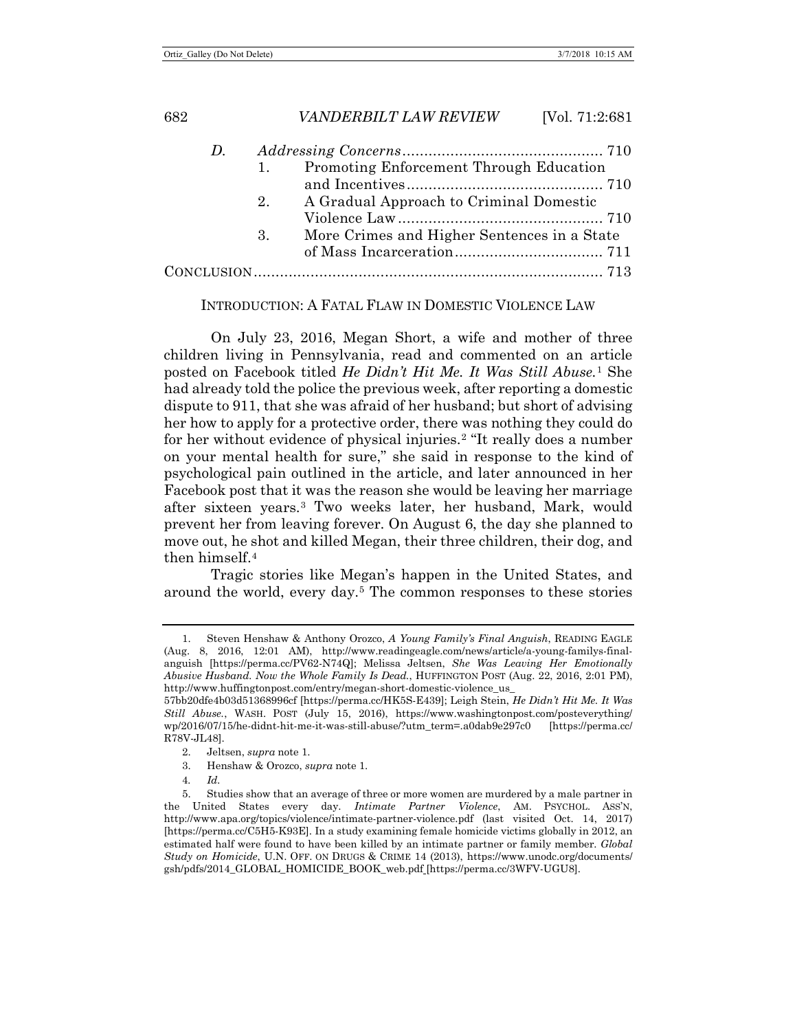| $D_{\cdot}$ |                |                                             |  |
|-------------|----------------|---------------------------------------------|--|
|             |                | 1. Promoting Enforcement Through Education  |  |
|             |                |                                             |  |
|             | 2 <sub>1</sub> | A Gradual Approach to Criminal Domestic     |  |
|             |                |                                             |  |
|             | 3.             | More Crimes and Higher Sentences in a State |  |
|             |                |                                             |  |
|             |                |                                             |  |
|             |                |                                             |  |

#### <span id="page-1-0"></span>INTRODUCTION: A FATAL FLAW IN DOMESTIC VIOLENCE LAW

On July 23, 2016, Megan Short, a wife and mother of three children living in Pennsylvania, read and commented on an article posted on Facebook titled *He Didn't Hit Me. It Was Still Abuse.*[1](#page-1-1) She had already told the police the previous week, after reporting a domestic dispute to 911, that she was afraid of her husband; but short of advising her how to apply for a protective order, there was nothing they could do for her without evidence of physical injuries.[2](#page-1-2) "It really does a number on your mental health for sure," she said in response to the kind of psychological pain outlined in the article, and later announced in her Facebook post that it was the reason she would be leaving her marriage after sixteen years.[3](#page-1-3) Two weeks later, her husband, Mark, would prevent her from leaving forever. On August 6, the day she planned to move out, he shot and killed Megan, their three children, their dog, and then himself $4$ 

<span id="page-1-6"></span>Tragic stories like Megan's happen in the United States, and around the world, every day.[5](#page-1-5) The common responses to these stories

<span id="page-1-1"></span><sup>1.</sup> Steven Henshaw & Anthony Orozco, *A Young Family's Final Anguish*, READING EAGLE (Aug. 8, 2016, 12:01 AM), http://www.readingeagle.com/news/article/a-young-familys-finalanguish [https://perma.cc/PV62-N74Q]; Melissa Jeltsen, *She Was Leaving Her Emotionally Abusive Husband. Now the Whole Family Is Dead.*, HUFFINGTON POST (Aug. 22, 2016, 2:01 PM), http://www.huffingtonpost.com/entry/megan-short-domestic-violence\_us\_

<sup>57</sup>bb20dfe4b03d51368996cf [https://perma.cc/HK5S-E439]; Leigh Stein, *He Didn't Hit Me. It Was Still Abuse.*, WASH. POST (July 15, 2016), https://www.washingtonpost.com/posteverything/ wp/2016/07/15/he-didnt-hit-me-it-was-still-abuse/?utm\_term=.a0dab9e297c0 [https://perma.cc/ R78V-JL48].

<sup>2.</sup> Jeltsen, *supra* not[e 1.](#page-1-0)

<sup>3.</sup> Henshaw & Orozco, *supra* note [1.](#page-1-0)

<sup>4</sup>*. Id.*

<span id="page-1-5"></span><span id="page-1-4"></span><span id="page-1-3"></span><span id="page-1-2"></span><sup>5.</sup> Studies show that an average of three or more women are murdered by a male partner in the United States every day. *Intimate Partner Violence*, AM. PSYCHOL. ASS'N, http://www.apa.org/topics/violence/intimate-partner-violence.pdf (last visited Oct. 14, 2017) [https://perma.cc/C5H5-K93E]. In a study examining female homicide victims globally in 2012, an estimated half were found to have been killed by an intimate partner or family member. *Global Study on Homicide*, U.N. OFF. ON DRUGS & CRIME 14 (2013), https://www.unodc.org/documents/ gsh/pdfs/2014\_GLOBAL\_HOMICIDE\_BOOK\_web.pdf [https://perma.cc/3WFV-UGU8].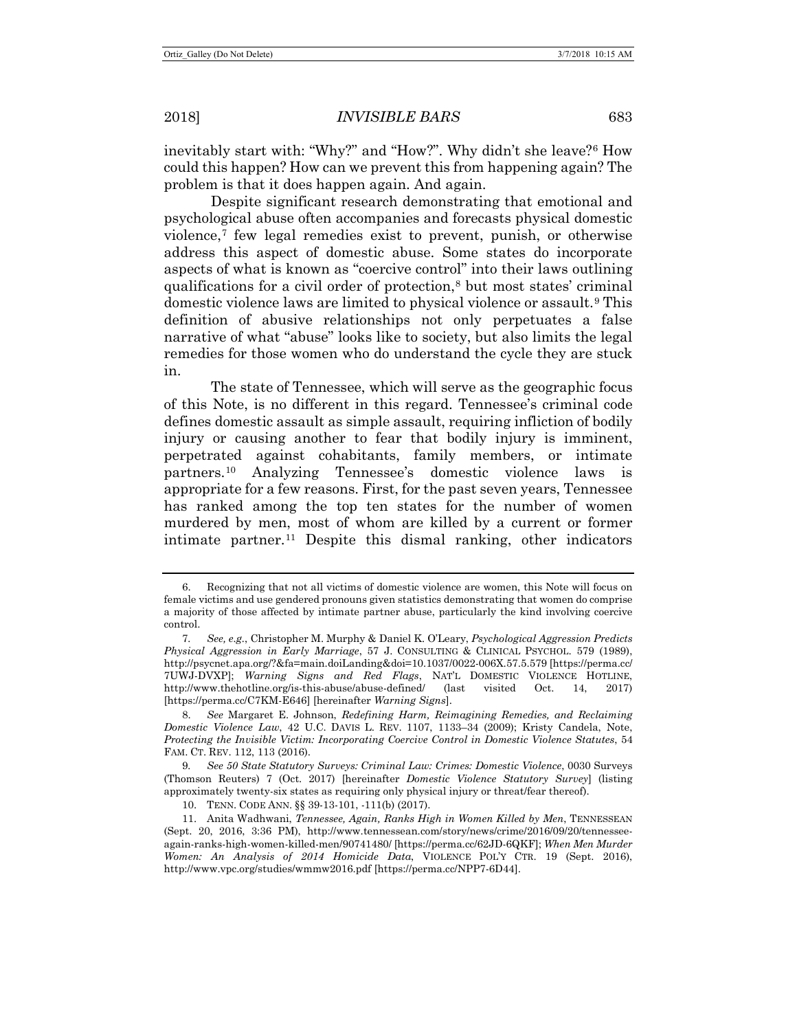inevitably start with: "Why?" and "How?". Why didn't she leave?[6](#page-2-0) How could this happen? How can we prevent this from happening again? The problem is that it does happen again. And again.

<span id="page-2-8"></span><span id="page-2-6"></span>Despite significant research demonstrating that emotional and psychological abuse often accompanies and forecasts physical domestic violence,[7](#page-2-1) few legal remedies exist to prevent, punish, or otherwise address this aspect of domestic abuse. Some states do incorporate aspects of what is known as "coercive control" into their laws outlining qualifications for a civil order of protection,[8](#page-2-2) but most states' criminal domestic violence laws are limited to physical violence or assault.<sup>[9](#page-2-3)</sup> This definition of abusive relationships not only perpetuates a false narrative of what "abuse" looks like to society, but also limits the legal remedies for those women who do understand the cycle they are stuck in.

<span id="page-2-9"></span><span id="page-2-7"></span>The state of Tennessee, which will serve as the geographic focus of this Note, is no different in this regard. Tennessee's criminal code defines domestic assault as simple assault, requiring infliction of bodily injury or causing another to fear that bodily injury is imminent, perpetrated against cohabitants, family members, or intimate partners.[10](#page-2-4) Analyzing Tennessee's domestic violence laws is appropriate for a few reasons. First, for the past seven years, Tennessee has ranked among the top ten states for the number of women murdered by men, most of whom are killed by a current or former intimate partner.<sup>[11](#page-2-5)</sup> Despite this dismal ranking, other indicators

<span id="page-2-3"></span>9*. See 50 State Statutory Surveys: Criminal Law: Crimes: Domestic Violence*, 0030 Surveys (Thomson Reuters) 7 (Oct. 2017) [hereinafter *Domestic Violence Statutory Survey*] (listing approximately twenty-six states as requiring only physical injury or threat/fear thereof).

<span id="page-2-0"></span><sup>6.</sup> Recognizing that not all victims of domestic violence are women, this Note will focus on female victims and use gendered pronouns given statistics demonstrating that women do comprise a majority of those affected by intimate partner abuse, particularly the kind involving coercive control.

<span id="page-2-1"></span><sup>7</sup>*. See, e.g.*, Christopher M. Murphy & Daniel K. O'Leary, *Psychological Aggression Predicts Physical Aggression in Early Marriage*, 57 J. CONSULTING & CLINICAL PSYCHOL. 579 (1989), http://psycnet.apa.org/?&fa=main.doiLanding&doi=10.1037/0022-006X.57.5.579 [https://perma.cc/ 7UWJ-DVXP]; *Warning Signs and Red Flags*, NAT'L DOMESTIC VIOLENCE HOTLINE, http://www.thehotline.org/is-this-abuse/abuse-defined/ (last visited Oct. 14, 2017) [https://perma.cc/C7KM-E646] [hereinafter *Warning Signs*].

<span id="page-2-2"></span><sup>8.</sup> *See* Margaret E. Johnson, *Redefining Harm, Reimagining Remedies, and Reclaiming Domestic Violence Law*, 42 U.C. DAVIS L. REV. 1107, 1133–34 (2009); Kristy Candela, Note, *Protecting the Invisible Victim: Incorporating Coercive Control in Domestic Violence Statutes*, 54 FAM. CT. REV. 112, 113 (2016).

<sup>10.</sup> TENN. CODE ANN. §§ 39-13-101, -111(b) (2017).

<span id="page-2-5"></span><span id="page-2-4"></span><sup>11.</sup> Anita Wadhwani, *Tennessee, Again, Ranks High in Women Killed by Men*, TENNESSEAN (Sept. 20, 2016, 3:36 PM), http://www.tennessean.com/story/news/crime/2016/09/20/tennesseeagain-ranks-high-women-killed-men/90741480/ [https://perma.cc/62JD-6QKF]; *When Men Murder Women: An Analysis of 2014 Homicide Data*, VIOLENCE POL'Y CTR. 19 (Sept. 2016), http://www.vpc.org/studies/wmmw2016.pdf [https://perma.cc/NPP7-6D44].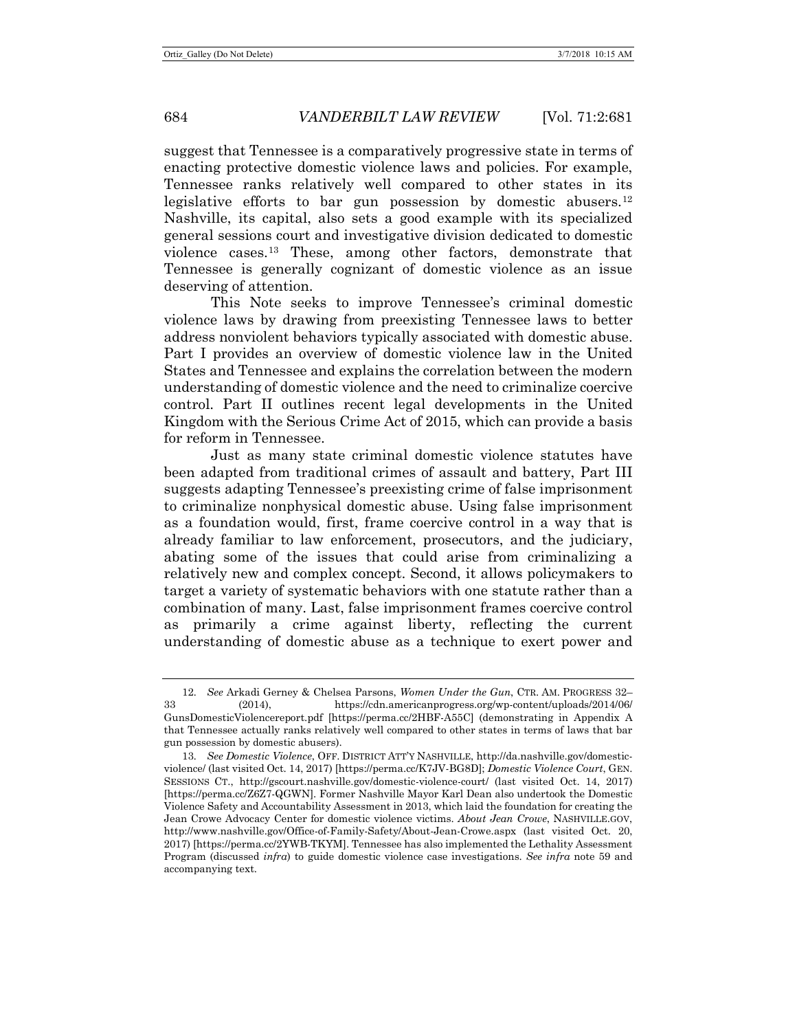suggest that Tennessee is a comparatively progressive state in terms of enacting protective domestic violence laws and policies. For example, Tennessee ranks relatively well compared to other states in its legislative efforts to bar gun possession by domestic abusers.[12](#page-3-0) Nashville, its capital, also sets a good example with its specialized general sessions court and investigative division dedicated to domestic violence cases.[13](#page-3-1) These, among other factors, demonstrate that Tennessee is generally cognizant of domestic violence as an issue deserving of attention.

This Note seeks to improve Tennessee's criminal domestic violence laws by drawing from preexisting Tennessee laws to better address nonviolent behaviors typically associated with domestic abuse. Part I provides an overview of domestic violence law in the United States and Tennessee and explains the correlation between the modern understanding of domestic violence and the need to criminalize coercive control. Part II outlines recent legal developments in the United Kingdom with the Serious Crime Act of 2015, which can provide a basis for reform in Tennessee.

Just as many state criminal domestic violence statutes have been adapted from traditional crimes of assault and battery, Part III suggests adapting Tennessee's preexisting crime of false imprisonment to criminalize nonphysical domestic abuse. Using false imprisonment as a foundation would, first, frame coercive control in a way that is already familiar to law enforcement, prosecutors, and the judiciary, abating some of the issues that could arise from criminalizing a relatively new and complex concept. Second, it allows policymakers to target a variety of systematic behaviors with one statute rather than a combination of many. Last, false imprisonment frames coercive control as primarily a crime against liberty, reflecting the current understanding of domestic abuse as a technique to exert power and

<span id="page-3-0"></span><sup>12</sup>*. See* Arkadi Gerney & Chelsea Parsons, *Women Under the Gun*, CTR. AM. PROGRESS 32– 33 (2014), https://cdn.americanprogress.org/wp-content/uploads/2014/06/ GunsDomesticViolencereport.pdf [https://perma.cc/2HBF-A55C] (demonstrating in Appendix A that Tennessee actually ranks relatively well compared to other states in terms of laws that bar gun possession by domestic abusers).

<span id="page-3-1"></span><sup>13</sup>*. See Domestic Violence*, OFF. DISTRICT ATT'Y NASHVILLE, http://da.nashville.gov/domesticviolence/ (last visited Oct. 14, 2017) [https://perma.cc/K7JV-BG8D]; *Domestic Violence Court*, GEN. SESSIONS CT., http://gscourt.nashville.gov/domestic-violence-court/ (last visited Oct. 14, 2017) [https://perma.cc/Z6Z7-QGWN]. Former Nashville Mayor Karl Dean also undertook the Domestic Violence Safety and Accountability Assessment in 2013, which laid the foundation for creating the Jean Crowe Advocacy Center for domestic violence victims. *About Jean Crowe*, NASHVILLE.GOV, http://www.nashville.gov/Office-of-Family-Safety/About-Jean-Crowe.aspx (last visited Oct. 20, 2017) [https://perma.cc/2YWB-TKYM]. Tennessee has also implemented the Lethality Assessment Program (discussed *infra*) to guide domestic violence case investigations. *See infra* note [59](#page-10-0) and accompanying text.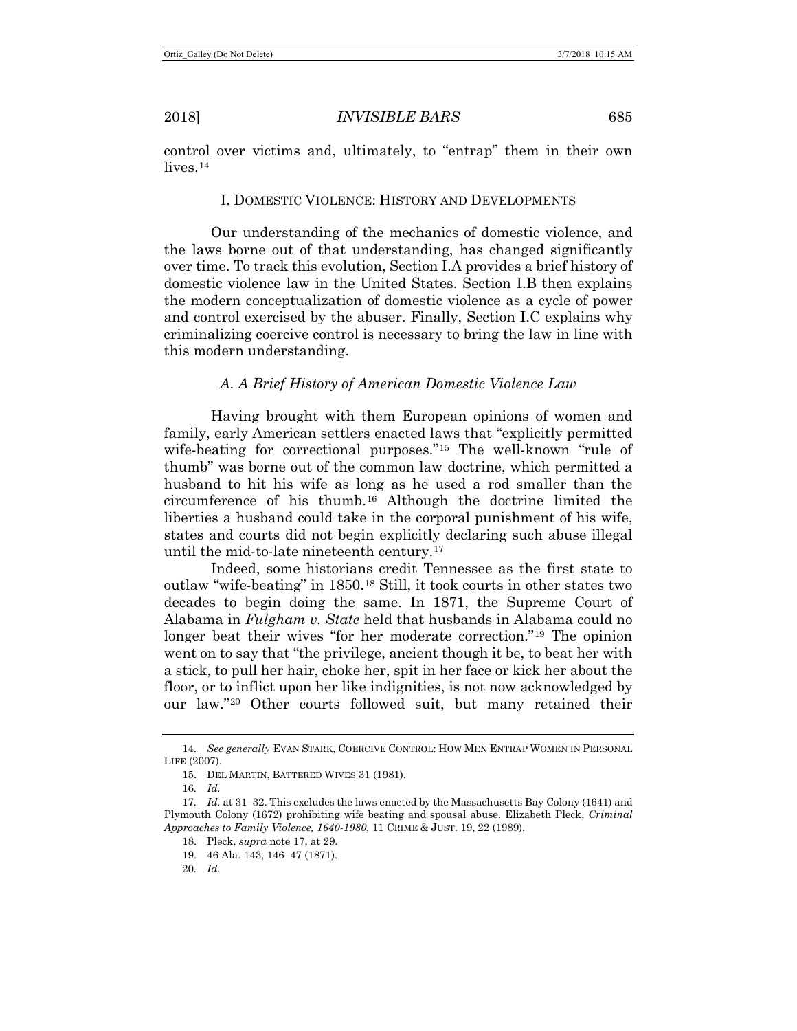<span id="page-4-8"></span>control over victims and, ultimately, to "entrap" them in their own lives.<sup>[14](#page-4-1)</sup>

# I. DOMESTIC VIOLENCE: HISTORY AND DEVELOPMENTS

Our understanding of the mechanics of domestic violence, and the laws borne out of that understanding, has changed significantly over time. To track this evolution, Section I.A provides a brief history of domestic violence law in the United States. Section I.B then explains the modern conceptualization of domestic violence as a cycle of power and control exercised by the abuser. Finally, Section I.C explains why criminalizing coercive control is necessary to bring the law in line with this modern understanding.

# *A. A Brief History of American Domestic Violence Law*

Having brought with them European opinions of women and family, early American settlers enacted laws that "explicitly permitted wife-beating for correctional purposes."<sup>[15](#page-4-2)</sup> The well-known "rule of thumb" was borne out of the common law doctrine, which permitted a husband to hit his wife as long as he used a rod smaller than the circumference of his thumb.[16](#page-4-3) Although the doctrine limited the liberties a husband could take in the corporal punishment of his wife, states and courts did not begin explicitly declaring such abuse illegal until the mid-to-late nineteenth century.[17](#page-4-4)

<span id="page-4-0"></span>Indeed, some historians credit Tennessee as the first state to outlaw "wife-beating" in 1850.[18](#page-4-5) Still, it took courts in other states two decades to begin doing the same. In 1871, the Supreme Court of Alabama in *Fulgham v. State* held that husbands in Alabama could no longer beat their wives "for her moderate correction."[19](#page-4-6) The opinion went on to say that "the privilege, ancient though it be, to beat her with a stick, to pull her hair, choke her, spit in her face or kick her about the floor, or to inflict upon her like indignities, is not now acknowledged by our law."[20](#page-4-7) Other courts followed suit, but many retained their

<span id="page-4-2"></span><span id="page-4-1"></span><sup>14</sup>*. See generally* EVAN STARK, COERCIVE CONTROL: HOW MEN ENTRAP WOMEN IN PERSONAL LIFE (2007).

<sup>15.</sup> DEL MARTIN, BATTERED WIVES 31 (1981).

<sup>16</sup>*. Id.*

<span id="page-4-7"></span><span id="page-4-6"></span><span id="page-4-5"></span><span id="page-4-4"></span><span id="page-4-3"></span><sup>17</sup>*. Id.* at 31–32. This excludes the laws enacted by the Massachusetts Bay Colony (1641) and Plymouth Colony (1672) prohibiting wife beating and spousal abuse. Elizabeth Pleck, *Criminal Approaches to Family Violence, 1640-1980*, 11 CRIME & JUST. 19, 22 (1989).

<sup>18.</sup> Pleck, *supra* not[e 17,](#page-4-0) at 29.

<sup>19.</sup> 46 Ala. 143, 146–47 (1871).

<sup>20</sup>*. Id.*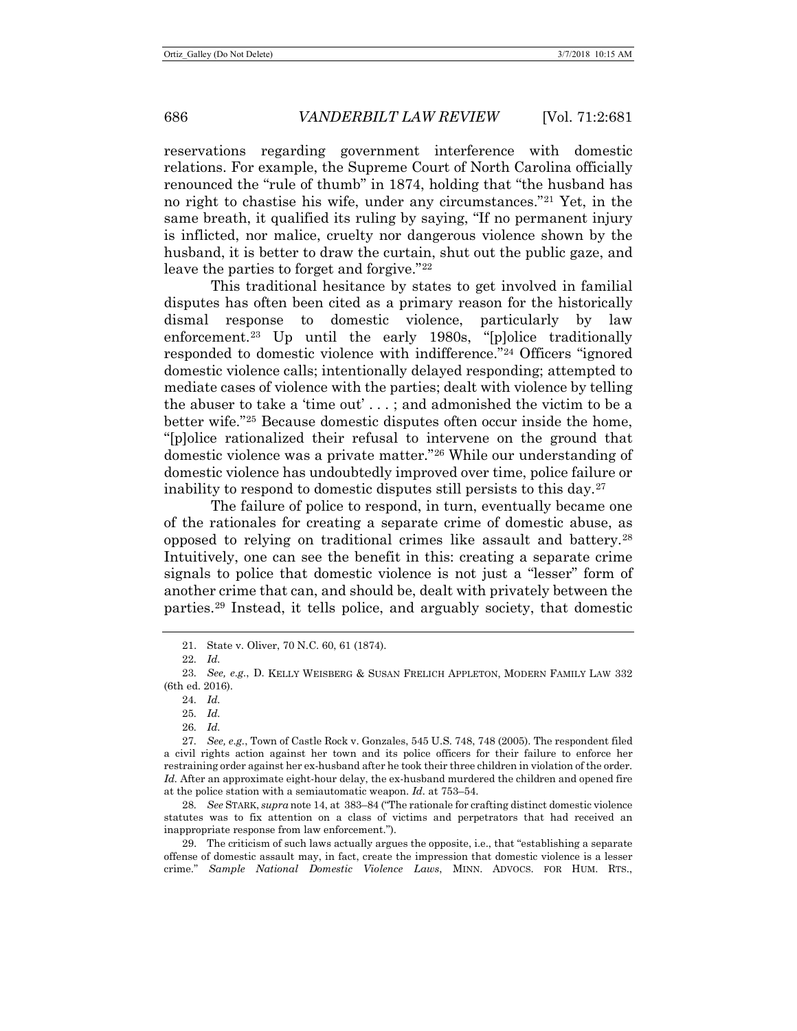reservations regarding government interference with domestic relations. For example, the Supreme Court of North Carolina officially renounced the "rule of thumb" in 1874, holding that "the husband has no right to chastise his wife, under any circumstances."[21](#page-5-0) Yet, in the same breath, it qualified its ruling by saying, "If no permanent injury is inflicted, nor malice, cruelty nor dangerous violence shown by the husband, it is better to draw the curtain, shut out the public gaze, and leave the parties to forget and forgive."<sup>[22](#page-5-1)</sup>

<span id="page-5-10"></span>This traditional hesitance by states to get involved in familial disputes has often been cited as a primary reason for the historically dismal response to domestic violence, particularly by law enforcement.<sup>23</sup> Up until the early 1980s, "[p]olice traditionally responded to domestic violence with indifference."[24](#page-5-3) Officers "ignored domestic violence calls; intentionally delayed responding; attempted to mediate cases of violence with the parties; dealt with violence by telling the abuser to take a 'time out' . . . ; and admonished the victim to be a better wife."[25](#page-5-4) Because domestic disputes often occur inside the home, "[p]olice rationalized their refusal to intervene on the ground that domestic violence was a private matter."[26](#page-5-5) While our understanding of domestic violence has undoubtedly improved over time, police failure or inability to respond to domestic disputes still persists to this day.[27](#page-5-6)

<span id="page-5-11"></span>The failure of police to respond, in turn, eventually became one of the rationales for creating a separate crime of domestic abuse, as opposed to relying on traditional crimes like assault and battery.[28](#page-5-7) Intuitively, one can see the benefit in this: creating a separate crime signals to police that domestic violence is not just a "lesser" form of another crime that can, and should be, dealt with privately between the parties.[29](#page-5-8) Instead, it tells police, and arguably society, that domestic

26*. Id.*

<span id="page-5-6"></span><span id="page-5-5"></span><span id="page-5-4"></span>27*. See, e.g.*, Town of Castle Rock v. Gonzales, 545 U.S. 748, 748 (2005). The respondent filed a civil rights action against her town and its police officers for their failure to enforce her restraining order against her ex-husband after he took their three children in violation of the order. *Id.* After an approximate eight-hour delay, the ex-husband murdered the children and opened fire at the police station with a semiautomatic weapon. *Id.* at 753–54.

<span id="page-5-7"></span>28*. See* STARK, *supra* not[e 14,](#page-4-8) at 383–84 ("The rationale for crafting distinct domestic violence statutes was to fix attention on a class of victims and perpetrators that had received an inappropriate response from law enforcement.").

<span id="page-5-8"></span>29. The criticism of such laws actually argues the opposite, i.e., that "establishing a separate offense of domestic assault may, in fact, create the impression that domestic violence is a lesser crime." *Sample National Domestic Violence Laws*, MINN. ADVOCS. FOR HUM. RTS.,

<span id="page-5-9"></span><sup>21.</sup> State v. Oliver, 70 N.C. 60, 61 (1874).

<sup>22</sup>*. Id.*

<span id="page-5-3"></span><span id="page-5-2"></span><span id="page-5-1"></span><span id="page-5-0"></span><sup>23</sup>*. See, e.g.*, D. KELLY WEISBERG & SUSAN FRELICH APPLETON, MODERN FAMILY LAW 332 (6th ed. 2016).

<sup>24</sup>*. Id.*

<sup>25</sup>*. Id.*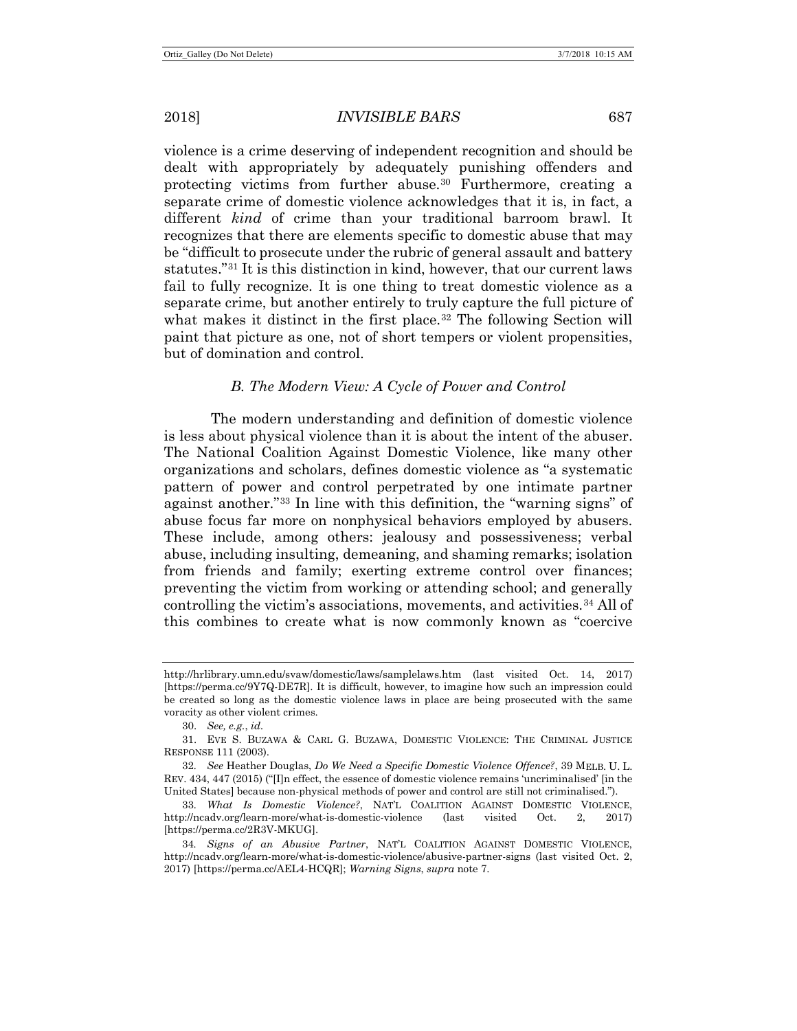violence is a crime deserving of independent recognition and should be dealt with appropriately by adequately punishing offenders and protecting victims from further abuse.[30](#page-6-0) Furthermore, creating a separate crime of domestic violence acknowledges that it is, in fact, a different *kind* of crime than your traditional barroom brawl. It recognizes that there are elements specific to domestic abuse that may be "difficult to prosecute under the rubric of general assault and battery statutes."[31](#page-6-1) It is this distinction in kind, however, that our current laws fail to fully recognize. It is one thing to treat domestic violence as a separate crime, but another entirely to truly capture the full picture of what makes it distinct in the first place.<sup>[32](#page-6-2)</sup> The following Section will paint that picture as one, not of short tempers or violent propensities, but of domination and control.

#### <span id="page-6-6"></span><span id="page-6-5"></span>*B. The Modern View: A Cycle of Power and Control*

The modern understanding and definition of domestic violence is less about physical violence than it is about the intent of the abuser. The National Coalition Against Domestic Violence, like many other organizations and scholars, defines domestic violence as "a systematic pattern of power and control perpetrated by one intimate partner against another."[33](#page-6-3) In line with this definition, the "warning signs" of abuse focus far more on nonphysical behaviors employed by abusers. These include, among others: jealousy and possessiveness; verbal abuse, including insulting, demeaning, and shaming remarks; isolation from friends and family; exerting extreme control over finances; preventing the victim from working or attending school; and generally controlling the victim's associations, movements, and activities.<sup>[34](#page-6-4)</sup> All of this combines to create what is now commonly known as "coercive

http://hrlibrary.umn.edu/svaw/domestic/laws/samplelaws.htm (last visited Oct. 14, 2017) [https://perma.cc/9Y7Q-DE7R]. It is difficult, however, to imagine how such an impression could be created so long as the domestic violence laws in place are being prosecuted with the same voracity as other violent crimes.

<sup>30.</sup> *See, e.g.*, *id.*

<span id="page-6-1"></span><span id="page-6-0"></span><sup>31.</sup> EVE S. BUZAWA & CARL G. BUZAWA, DOMESTIC VIOLENCE: THE CRIMINAL JUSTICE RESPONSE 111 (2003).

<span id="page-6-2"></span><sup>32</sup>*. See* Heather Douglas, *Do We Need a Specific Domestic Violence Offence?*, 39 MELB. U. L. REV. 434, 447 (2015) ("[I]n effect, the essence of domestic violence remains 'uncriminalised' [in the United States] because non-physical methods of power and control are still not criminalised.").

<span id="page-6-3"></span><sup>33</sup>*. What Is Domestic Violence?*, NAT'L COALITION AGAINST DOMESTIC VIOLENCE, http://ncadv.org/learn-more/what-is-domestic-violence (last visited Oct. 2, 2017) [https://perma.cc/2R3V-MKUG].

<span id="page-6-4"></span><sup>34</sup>*. Signs of an Abusive Partner*, NAT'L COALITION AGAINST DOMESTIC VIOLENCE, http://ncadv.org/learn-more/what-is-domestic-violence/abusive-partner-signs (last visited Oct. 2, 2017) [https://perma.cc/AEL4-HCQR]; *Warning Signs*, *supra* not[e 7.](#page-2-6)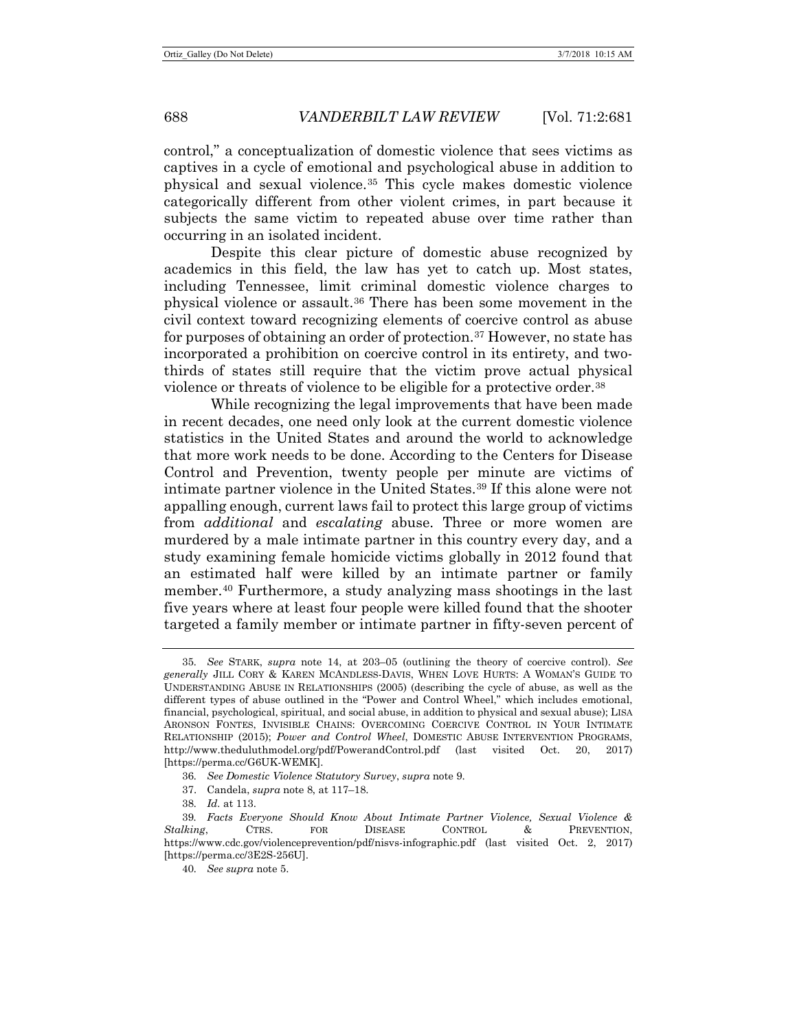<span id="page-7-6"></span>control," a conceptualization of domestic violence that sees victims as captives in a cycle of emotional and psychological abuse in addition to physical and sexual violence.[35](#page-7-0) This cycle makes domestic violence categorically different from other violent crimes, in part because it subjects the same victim to repeated abuse over time rather than occurring in an isolated incident.

Despite this clear picture of domestic abuse recognized by academics in this field, the law has yet to catch up. Most states, including Tennessee, limit criminal domestic violence charges to physical violence or assault.[36](#page-7-1) There has been some movement in the civil context toward recognizing elements of coercive control as abuse for purposes of obtaining an order of protection.[37](#page-7-2) However, no state has incorporated a prohibition on coercive control in its entirety, and twothirds of states still require that the victim prove actual physical violence or threats of violence to be eligible for a protective order[.38](#page-7-3)

While recognizing the legal improvements that have been made in recent decades, one need only look at the current domestic violence statistics in the United States and around the world to acknowledge that more work needs to be done. According to the Centers for Disease Control and Prevention, twenty people per minute are victims of intimate partner violence in the United States.[39](#page-7-4) If this alone were not appalling enough, current laws fail to protect this large group of victims from *additional* and *escalating* abuse. Three or more women are murdered by a male intimate partner in this country every day, and a study examining female homicide victims globally in 2012 found that an estimated half were killed by an intimate partner or family member.[40](#page-7-5) Furthermore, a study analyzing mass shootings in the last five years where at least four people were killed found that the shooter targeted a family member or intimate partner in fifty-seven percent of

37. Candela, *supra* not[e 8,](#page-2-8) at 117–18.

<span id="page-7-7"></span><span id="page-7-0"></span><sup>35</sup>*. See* STARK, *supra* note [14,](#page-4-8) at 203–05 (outlining the theory of coercive control). *See generally* JILL CORY & KAREN MCANDLESS-DAVIS, WHEN LOVE HURTS: A WOMAN'S GUIDE TO UNDERSTANDING ABUSE IN RELATIONSHIPS (2005) (describing the cycle of abuse, as well as the different types of abuse outlined in the "Power and Control Wheel," which includes emotional, financial, psychological, spiritual, and social abuse, in addition to physical and sexual abuse); LISA ARONSON FONTES, INVISIBLE CHAINS: OVERCOMING COERCIVE CONTROL IN YOUR INTIMATE RELATIONSHIP (2015); *Power and Control Wheel*, DOMESTIC ABUSE INTERVENTION PROGRAMS, http://www.theduluthmodel.org/pdf/PowerandControl.pdf (last visited Oct. 20, 2017) [https://perma.cc/G6UK-WEMK].

<sup>36</sup>*. See Domestic Violence Statutory Survey*, *supra* not[e 9.](#page-2-7)

<sup>38</sup>*. Id.* at 113.

<span id="page-7-5"></span><span id="page-7-4"></span><span id="page-7-3"></span><span id="page-7-2"></span><span id="page-7-1"></span><sup>39</sup>*. Facts Everyone Should Know About Intimate Partner Violence, Sexual Violence & Stalking*, CTRS. FOR DISEASE CONTROL & PREVENTION, https://www.cdc.gov/violenceprevention/pdf/nisvs-infographic.pdf (last visited Oct. 2, 2017) [https://perma.cc/3E2S-256U].

<sup>40</sup>*. See supra* not[e 5.](#page-1-6)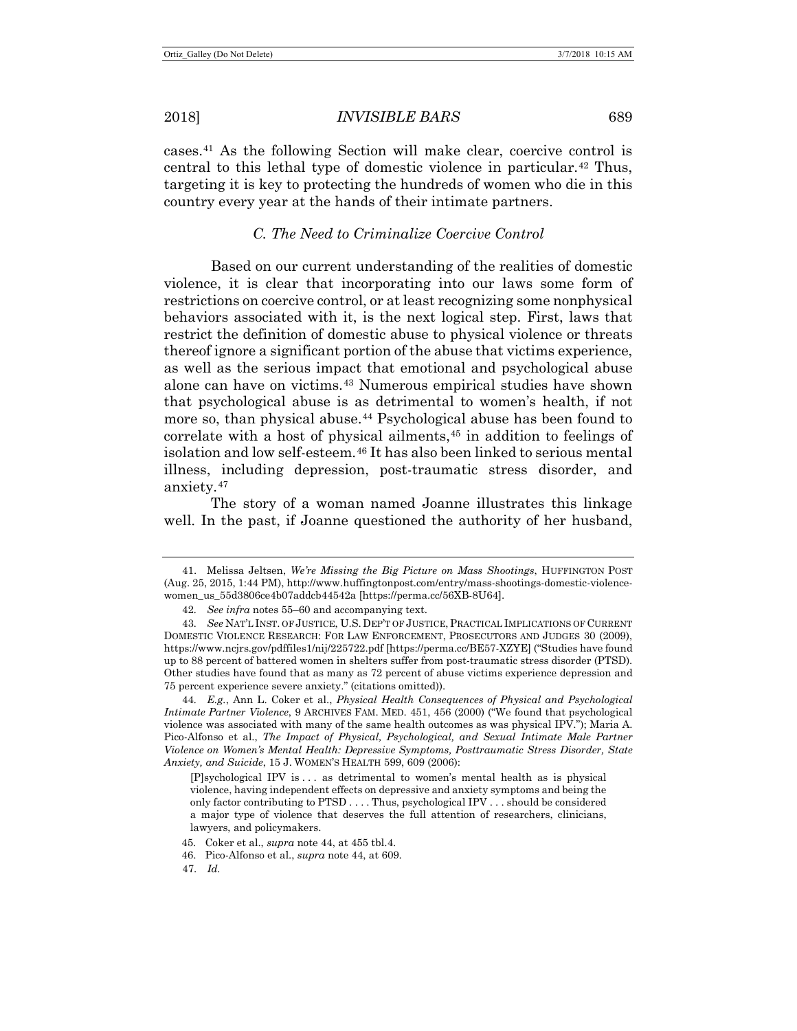2018] *INVISIBLE BARS* 689

<span id="page-8-11"></span>cases.[41](#page-8-1) As the following Section will make clear, coercive control is central to this lethal type of domestic violence in particular.[42](#page-8-2) Thus, targeting it is key to protecting the hundreds of women who die in this country every year at the hands of their intimate partners.

#### <span id="page-8-10"></span><span id="page-8-8"></span><span id="page-8-0"></span>*C. The Need to Criminalize Coercive Control*

Based on our current understanding of the realities of domestic violence, it is clear that incorporating into our laws some form of restrictions on coercive control, or at least recognizing some nonphysical behaviors associated with it, is the next logical step. First, laws that restrict the definition of domestic abuse to physical violence or threats thereof ignore a significant portion of the abuse that victims experience, as well as the serious impact that emotional and psychological abuse alone can have on victims.[43](#page-8-3) Numerous empirical studies have shown that psychological abuse is as detrimental to women's health, if not more so, than physical abuse.<sup>[44](#page-8-4)</sup> Psychological abuse has been found to correlate with a host of physical ailments,<sup>[45](#page-8-5)</sup> in addition to feelings of isolation and low self-esteem.<sup>[46](#page-8-6)</sup> It has also been linked to serious mental illness, including depression, post-traumatic stress disorder, and anxiety.[47](#page-8-7)

<span id="page-8-9"></span>The story of a woman named Joanne illustrates this linkage well. In the past, if Joanne questioned the authority of her husband,

- <span id="page-8-6"></span>46. Pico-Alfonso et al., *supra* note [44,](#page-8-0) at 609.
- <span id="page-8-7"></span>47. *Id.*

<span id="page-8-1"></span><sup>41.</sup> Melissa Jeltsen, *We're Missing the Big Picture on Mass Shootings*, HUFFINGTON POST (Aug. 25, 2015, 1:44 PM), http://www.huffingtonpost.com/entry/mass-shootings-domestic-violencewomen\_us\_55d3806ce4b07addcb44542a [https://perma.cc/56XB-8U64].

<sup>42</sup>*. See infra* note[s 55](#page-9-0)[–60](#page-10-1) and accompanying text.

<span id="page-8-3"></span><span id="page-8-2"></span><sup>43</sup>*. See* NAT'L INST. OF JUSTICE, U.S.DEP'T OF JUSTICE, PRACTICAL IMPLICATIONS OF CURRENT DOMESTIC VIOLENCE RESEARCH: FOR LAW ENFORCEMENT, PROSECUTORS AND JUDGES 30 (2009), https://www.ncjrs.gov/pdffiles1/nij/225722.pdf [https://perma.cc/BE57-XZYE] ("Studies have found up to 88 percent of battered women in shelters suffer from post-traumatic stress disorder (PTSD). Other studies have found that as many as 72 percent of abuse victims experience depression and 75 percent experience severe anxiety." (citations omitted)).

<span id="page-8-4"></span><sup>44</sup>*. E.g.*, Ann L. Coker et al., *Physical Health Consequences of Physical and Psychological Intimate Partner Violence*, 9 ARCHIVES FAM. MED. 451, 456 (2000) ("We found that psychological violence was associated with many of the same health outcomes as was physical IPV."); Maria A. Pico-Alfonso et al., *The Impact of Physical, Psychological, and Sexual Intimate Male Partner Violence on Women's Mental Health: Depressive Symptoms, Posttraumatic Stress Disorder, State Anxiety, and Suicide*, 15 J. WOMEN'S HEALTH 599, 609 (2006):

<sup>[</sup>P]sychological IPV is . . . as detrimental to women's mental health as is physical violence, having independent effects on depressive and anxiety symptoms and being the only factor contributing to PTSD . . . . Thus, psychological IPV . . . should be considered a major type of violence that deserves the full attention of researchers, clinicians, lawyers, and policymakers.

<span id="page-8-5"></span><sup>45.</sup> Coker et al., *supra* not[e 44,](#page-8-0) at 455 tbl.4.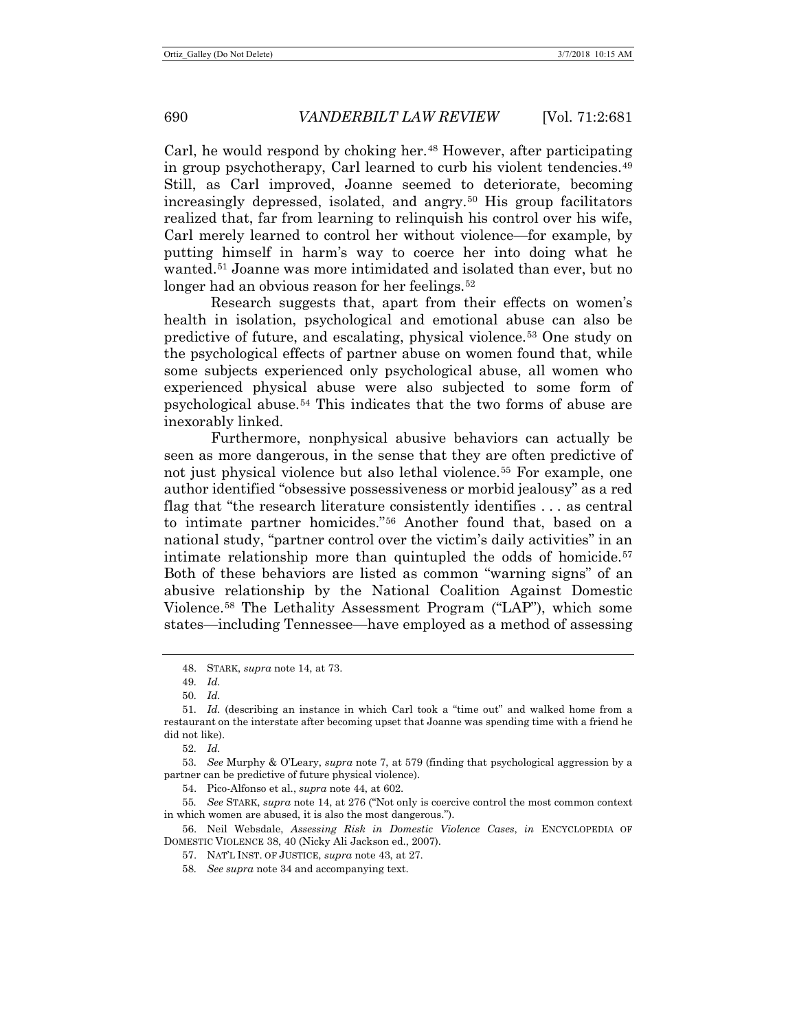<span id="page-9-12"></span>Carl, he would respond by choking her.<sup>[48](#page-9-1)</sup> However, after participating in group psychotherapy, Carl learned to curb his violent tendencies.[49](#page-9-2) Still, as Carl improved, Joanne seemed to deteriorate, becoming increasingly depressed, isolated, and angry.[50](#page-9-3) His group facilitators realized that, far from learning to relinquish his control over his wife, Carl merely learned to control her without violence—for example, by putting himself in harm's way to coerce her into doing what he wanted.[51](#page-9-4) Joanne was more intimidated and isolated than ever, but no longer had an obvious reason for her feelings.<sup>52</sup>

<span id="page-9-13"></span>Research suggests that, apart from their effects on women's health in isolation, psychological and emotional abuse can also be predictive of future, and escalating, physical violence.[53](#page-9-6) One study on the psychological effects of partner abuse on women found that, while some subjects experienced only psychological abuse, all women who experienced physical abuse were also subjected to some form of psychological abuse.[54](#page-9-7) This indicates that the two forms of abuse are inexorably linked.

<span id="page-9-0"></span>Furthermore, nonphysical abusive behaviors can actually be seen as more dangerous, in the sense that they are often predictive of not just physical violence but also lethal violence.[55](#page-9-8) For example, one author identified "obsessive possessiveness or morbid jealousy" as a red flag that "the research literature consistently identifies . . . as central to intimate partner homicides.["56](#page-9-9) Another found that, based on a national study, "partner control over the victim's daily activities" in an intimate relationship more than quintupled the odds of homicide. $57$ Both of these behaviors are listed as common "warning signs" of an abusive relationship by the National Coalition Against Domestic Violence.[58](#page-9-11) The Lethality Assessment Program ("LAP"), which some states—including Tennessee—have employed as a method of assessing

<sup>48.</sup> STARK, *supra* note [14,](#page-4-8) at 73.

<sup>49</sup>*. Id.*

<sup>50</sup>*. Id.*

<span id="page-9-4"></span><span id="page-9-3"></span><span id="page-9-2"></span><span id="page-9-1"></span><sup>51</sup>*. Id.* (describing an instance in which Carl took a "time out" and walked home from a restaurant on the interstate after becoming upset that Joanne was spending time with a friend he did not like).

<sup>52</sup>*. Id.*

<span id="page-9-6"></span><span id="page-9-5"></span><sup>53</sup>*. See* Murphy & O'Leary, *supra* note [7,](#page-2-6) at 579 (finding that psychological aggression by a partner can be predictive of future physical violence).

<sup>54.</sup> Pico-Alfonso et al., *supra* not[e 44,](#page-8-0) at 602.

<span id="page-9-8"></span><span id="page-9-7"></span><sup>55</sup>*. See* STARK, *supra* note [14,](#page-4-8) at 276 ("Not only is coercive control the most common context in which women are abused, it is also the most dangerous.").

<span id="page-9-11"></span><span id="page-9-10"></span><span id="page-9-9"></span><sup>56.</sup> Neil Websdale, *Assessing Risk in Domestic Violence Cases*, *in* ENCYCLOPEDIA OF DOMESTIC VIOLENCE 38, 40 (Nicky Ali Jackson ed., 2007).

<sup>57.</sup> NAT'L INST. OF JUSTICE, *supra* note [43,](#page-8-8) at 27.

<sup>58</sup>*. See supra* not[e 34](#page-6-5) and accompanying text.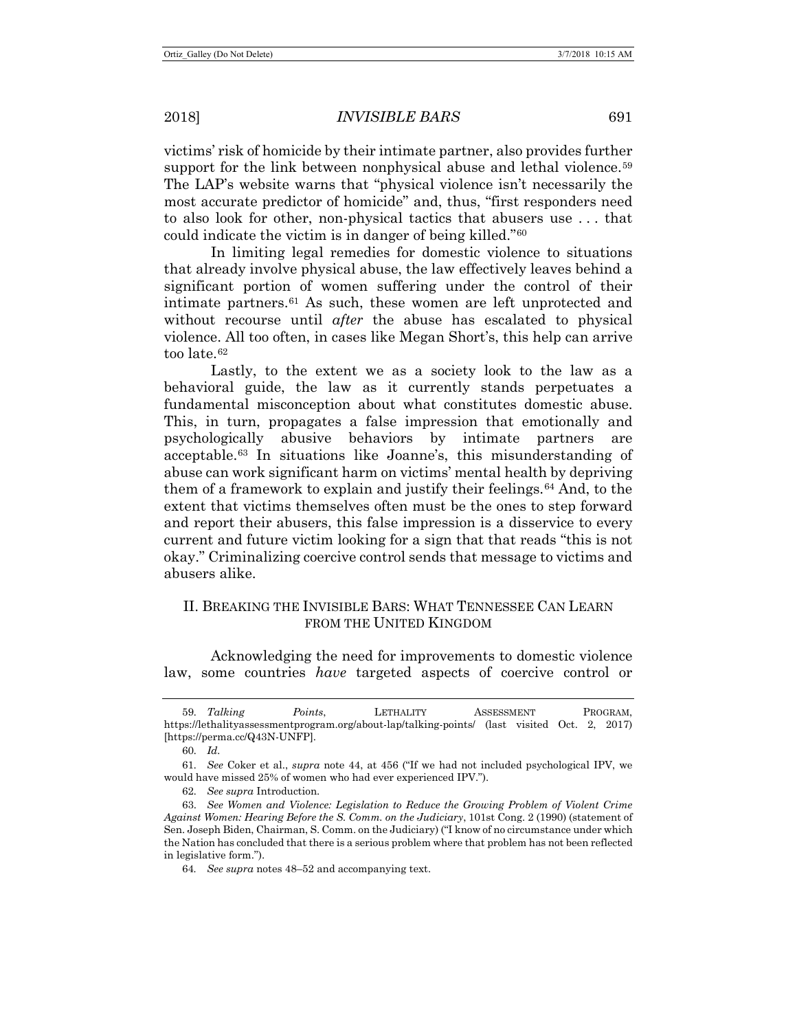<span id="page-10-0"></span>victims' risk of homicide by their intimate partner, also provides further support for the link between nonphysical abuse and lethal violence.<sup>[59](#page-10-2)</sup> The LAP's website warns that "physical violence isn't necessarily the most accurate predictor of homicide" and, thus, "first responders need to also look for other, non-physical tactics that abusers use . . . that could indicate the victim is in danger of being killed."[60](#page-10-3)

<span id="page-10-1"></span>In limiting legal remedies for domestic violence to situations that already involve physical abuse, the law effectively leaves behind a significant portion of women suffering under the control of their intimate partners.[61](#page-10-4) As such, these women are left unprotected and without recourse until *after* the abuse has escalated to physical violence. All too often, in cases like Megan Short's, this help can arrive too late.[62](#page-10-5)

Lastly, to the extent we as a society look to the law as a behavioral guide, the law as it currently stands perpetuates a fundamental misconception about what constitutes domestic abuse. This, in turn, propagates a false impression that emotionally and psychologically abusive behaviors by intimate partners are acceptable.[63](#page-10-6) In situations like Joanne's, this misunderstanding of abuse can work significant harm on victims' mental health by depriving them of a framework to explain and justify their feelings.[64](#page-10-7) And, to the extent that victims themselves often must be the ones to step forward and report their abusers, this false impression is a disservice to every current and future victim looking for a sign that that reads "this is not okay." Criminalizing coercive control sends that message to victims and abusers alike.

# II. BREAKING THE INVISIBLE BARS: WHAT TENNESSEE CAN LEARN FROM THE UNITED KINGDOM

Acknowledging the need for improvements to domestic violence law, some countries *have* targeted aspects of coercive control or

60*. Id.*

62*. See supra* Introduction.

<span id="page-10-2"></span><sup>59</sup>*. Talking Points*, LETHALITY ASSESSMENT PROGRAM, https://lethalityassessmentprogram.org/about-lap/talking-points/ (last visited Oct. 2, 2017) [https://perma.cc/Q43N-UNFP].

<span id="page-10-4"></span><span id="page-10-3"></span><sup>61</sup>*. See* Coker et al., *supra* note [44,](#page-8-0) at 456 ("If we had not included psychological IPV, we would have missed 25% of women who had ever experienced IPV.").

<span id="page-10-7"></span><span id="page-10-6"></span><span id="page-10-5"></span><sup>63.</sup> *See Women and Violence: Legislation to Reduce the Growing Problem of Violent Crime Against Women: Hearing Before the S. Comm. on the Judiciary*, 101st Cong. 2 (1990) (statement of Sen. Joseph Biden, Chairman, S. Comm. on the Judiciary) ("I know of no circumstance under which the Nation has concluded that there is a serious problem where that problem has not been reflected in legislative form.").

<sup>64</sup>*. See supra* notes [48](#page-9-12)[–52](#page-9-13) and accompanying text.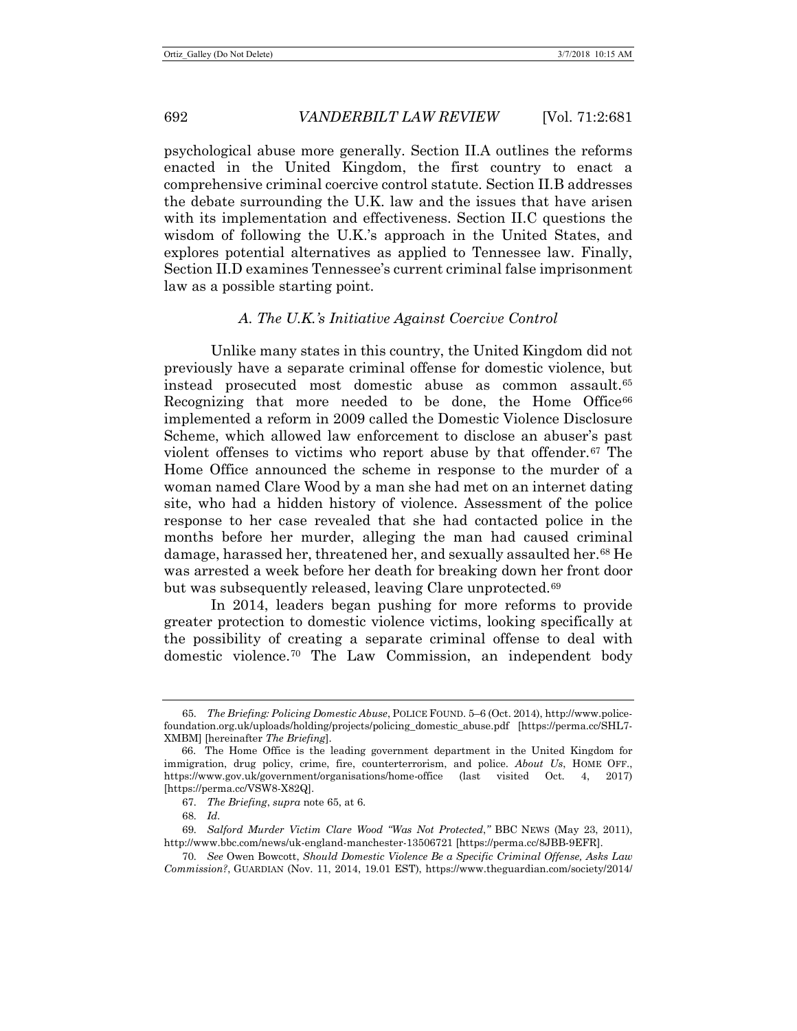psychological abuse more generally. Section II.A outlines the reforms enacted in the United Kingdom, the first country to enact a comprehensive criminal coercive control statute. Section II.B addresses the debate surrounding the U.K. law and the issues that have arisen with its implementation and effectiveness. Section II.C questions the wisdom of following the U.K.'s approach in the United States, and explores potential alternatives as applied to Tennessee law. Finally, Section II.D examines Tennessee's current criminal false imprisonment law as a possible starting point.

## <span id="page-11-0"></span>*A. The U.K.'s Initiative Against Coercive Control*

Unlike many states in this country, the United Kingdom did not previously have a separate criminal offense for domestic violence, but instead prosecuted most domestic abuse as common assault.[65](#page-11-1) Recognizing that more needed to be done, the Home Office<sup>[66](#page-11-2)</sup> implemented a reform in 2009 called the Domestic Violence Disclosure Scheme, which allowed law enforcement to disclose an abuser's past violent offenses to victims who report abuse by that offender.[67](#page-11-3) The Home Office announced the scheme in response to the murder of a woman named Clare Wood by a man she had met on an internet dating site, who had a hidden history of violence. Assessment of the police response to her case revealed that she had contacted police in the months before her murder, alleging the man had caused criminal damage, harassed her, threatened her, and sexually assaulted her.[68](#page-11-4) He was arrested a week before her death for breaking down her front door but was subsequently released, leaving Clare unprotected.<sup>[69](#page-11-5)</sup>

<span id="page-11-7"></span>In 2014, leaders began pushing for more reforms to provide greater protection to domestic violence victims, looking specifically at the possibility of creating a separate criminal offense to deal with domestic violence.[70](#page-11-6) The Law Commission, an independent body

<span id="page-11-1"></span><sup>65</sup>*. The Briefing: Policing Domestic Abuse*, POLICE FOUND. 5–6 (Oct. 2014), http://www.policefoundation.org.uk/uploads/holding/projects/policing\_domestic\_abuse.pdf [https://perma.cc/SHL7- XMBM] [hereinafter *The Briefing*].

<span id="page-11-2"></span><sup>66.</sup> The Home Office is the leading government department in the United Kingdom for immigration, drug policy, crime, fire, counterterrorism, and police. *About Us*, HOME OFF., https://www.gov.uk/government/organisations/home-office (last visited Oct. 4, 2017) [https://perma.cc/VSW8-X82Q].

<sup>67</sup>*. The Briefing*, *supra* not[e 65,](#page-11-0) at 6.

<sup>68</sup>*. Id.*

<span id="page-11-5"></span><span id="page-11-4"></span><span id="page-11-3"></span><sup>69</sup>*. Salford Murder Victim Clare Wood "Was Not Protected*,*"* BBC NEWS (May 23, 2011), http://www.bbc.com/news/uk-england-manchester-13506721 [https://perma.cc/8JBB-9EFR].

<span id="page-11-6"></span><sup>70</sup>*. See* Owen Bowcott, *Should Domestic Violence Be a Specific Criminal Offense, Asks Law Commission?*, GUARDIAN (Nov. 11, 2014, 19.01 EST), https://www.theguardian.com/society/2014/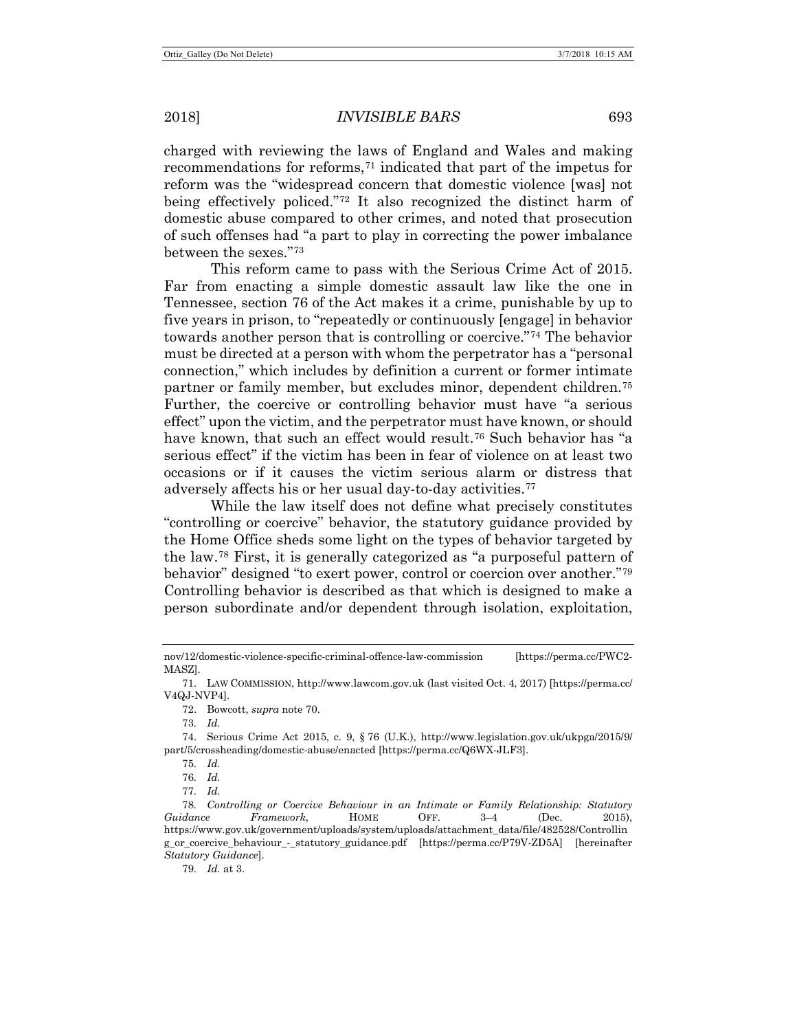charged with reviewing the laws of England and Wales and making recommendations for reforms,<sup>[71](#page-12-0)</sup> indicated that part of the impetus for reform was the "widespread concern that domestic violence [was] not being effectively policed."[72](#page-12-1) It also recognized the distinct harm of domestic abuse compared to other crimes, and noted that prosecution of such offenses had "a part to play in correcting the power imbalance between the sexes."[73](#page-12-2)

This reform came to pass with the Serious Crime Act of 2015. Far from enacting a simple domestic assault law like the one in Tennessee, section 76 of the Act makes it a crime, punishable by up to five years in prison, to "repeatedly or continuously [engage] in behavior towards another person that is controlling or coercive."[74](#page-12-3) The behavior must be directed at a person with whom the perpetrator has a "personal connection," which includes by definition a current or former intimate partner or family member, but excludes minor, dependent children.[75](#page-12-4) Further, the coercive or controlling behavior must have "a serious effect" upon the victim, and the perpetrator must have known, or should have known, that such an effect would result.<sup>[76](#page-12-5)</sup> Such behavior has "a serious effect" if the victim has been in fear of violence on at least two occasions or if it causes the victim serious alarm or distress that adversely affects his or her usual day-to-day activities.[77](#page-12-6)

<span id="page-12-9"></span>While the law itself does not define what precisely constitutes "controlling or coercive" behavior, the statutory guidance provided by the Home Office sheds some light on the types of behavior targeted by the law.[78](#page-12-7) First, it is generally categorized as "a purposeful pattern of behavior" designed "to exert power, control or coercion over another."[79](#page-12-8) Controlling behavior is described as that which is designed to make a person subordinate and/or dependent through isolation, exploitation,

72. Bowcott, *supra* note [70.](#page-11-7)

73*. Id.*

<span id="page-12-4"></span><span id="page-12-3"></span><span id="page-12-2"></span>74. Serious Crime Act 2015, c. 9, § 76 (U.K.), http://www.legislation.gov.uk/ukpga/2015/9/ part/5/crossheading/domestic-abuse/enacted [https://perma.cc/Q6WX-JLF3].

76*. Id.*

79*. Id.* at 3.

nov/12/domestic-violence-specific-criminal-offence-law-commission [https://perma.cc/PWC2- MASZ].

<span id="page-12-1"></span><span id="page-12-0"></span><sup>71.</sup> LAW COMMISSION, http://www.lawcom.gov.uk (last visited Oct. 4, 2017) [https://perma.cc/ V4QJ-NVP4].

<sup>75</sup>*. Id.*

<sup>77</sup>*. Id.*

<span id="page-12-8"></span><span id="page-12-7"></span><span id="page-12-6"></span><span id="page-12-5"></span><sup>78</sup>*. Controlling or Coercive Behaviour in an Intimate or Family Relationship: Statutory Guidance Framework*, HOME OFF. 3–4 (Dec. 2015), https://www.gov.uk/government/uploads/system/uploads/attachment\_data/file/482528/Controllin g\_or\_coercive\_behaviour\_-\_statutory\_guidance.pdf [https://perma.cc/P79V-ZD5A] [hereinafter *Statutory Guidance*].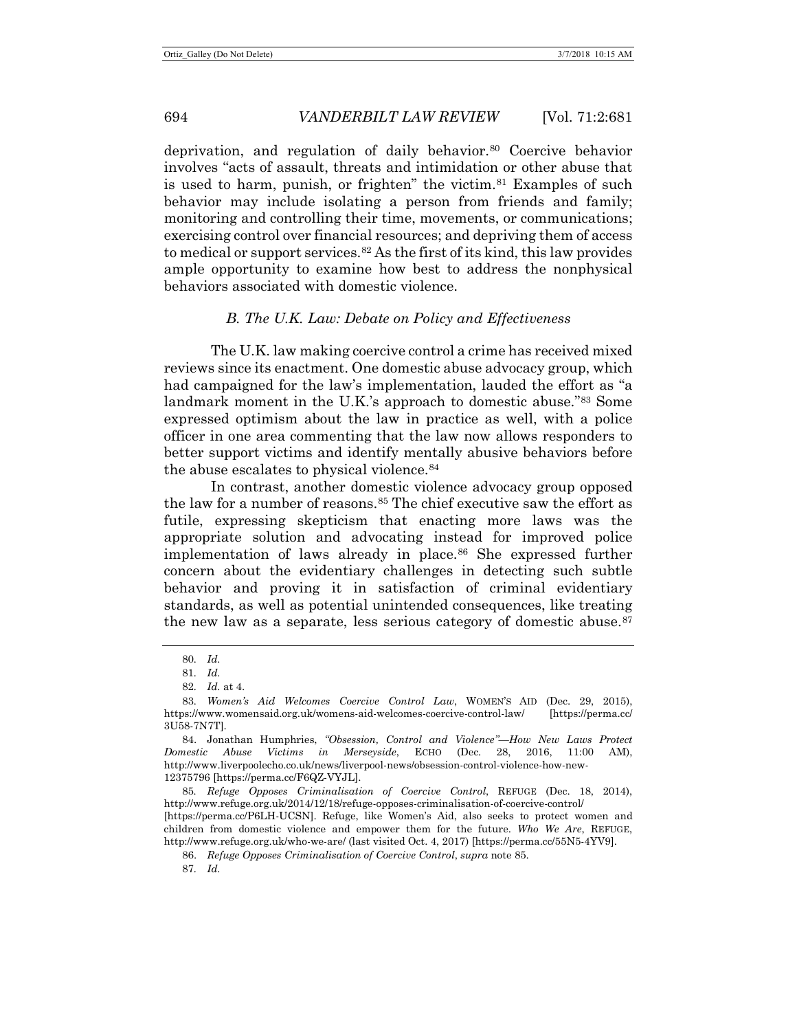deprivation, and regulation of daily behavior.<sup>80</sup> Coercive behavior involves "acts of assault, threats and intimidation or other abuse that is used to harm, punish, or frighten" the victim.<sup>[81](#page-13-2)</sup> Examples of such behavior may include isolating a person from friends and family; monitoring and controlling their time, movements, or communications; exercising control over financial resources; and depriving them of access to medical or support services.<sup>[82](#page-13-3)</sup> As the first of its kind, this law provides ample opportunity to examine how best to address the nonphysical behaviors associated with domestic violence.

## <span id="page-13-11"></span><span id="page-13-10"></span>*B. The U.K. Law: Debate on Policy and Effectiveness*

The U.K. law making coercive control a crime has received mixed reviews since its enactment. One domestic abuse advocacy group, which had campaigned for the law's implementation, lauded the effort as "a landmark moment in the U.K.'s approach to domestic abuse.["83](#page-13-4) Some expressed optimism about the law in practice as well, with a police officer in one area commenting that the law now allows responders to better support victims and identify mentally abusive behaviors before the abuse escalates to physical violence.<sup>[84](#page-13-5)</sup>

<span id="page-13-0"></span>In contrast, another domestic violence advocacy group opposed the law for a number of reasons.<sup>[85](#page-13-6)</sup> The chief executive saw the effort as futile, expressing skepticism that enacting more laws was the appropriate solution and advocating instead for improved police implementation of laws already in place.<sup>[86](#page-13-7)</sup> She expressed further concern about the evidentiary challenges in detecting such subtle behavior and proving it in satisfaction of criminal evidentiary standards, as well as potential unintended consequences, like treating the new law as a separate, less serious category of domestic abuse.<sup>[87](#page-13-8)</sup>

<span id="page-13-9"></span><sup>80</sup>*. Id.*

<sup>81</sup>*. Id.*

<sup>82</sup>*. Id.* at 4.

<span id="page-13-4"></span><span id="page-13-3"></span><span id="page-13-2"></span><span id="page-13-1"></span><sup>83</sup>*. Women's Aid Welcomes Coercive Control Law*, WOMEN'S AID (Dec. 29, 2015), https://www.womensaid.org.uk/womens-aid-welcomes-coercive-control-law/ [https://perma.cc/ 3U58-7N7T].

<span id="page-13-5"></span><sup>84.</sup> Jonathan Humphries, *"Obsession, Control and Violence"—How New Laws Protect Domestic Abuse Victims in Merseyside*, ECHO (Dec. 28, 2016, 11:00 AM), http://www.liverpoolecho.co.uk/news/liverpool-news/obsession-control-violence-how-new-12375796 [https://perma.cc/F6QZ-VYJL].

<span id="page-13-6"></span><sup>85</sup>*. Refuge Opposes Criminalisation of Coercive Control*, REFUGE (Dec. 18, 2014), http://www.refuge.org.uk/2014/12/18/refuge-opposes-criminalisation-of-coercive-control/

<span id="page-13-8"></span><span id="page-13-7"></span><sup>[</sup>https://perma.cc/P6LH-UCSN]. Refuge, like Women's Aid, also seeks to protect women and children from domestic violence and empower them for the future. *Who We Are*, REFUGE, http://www.refuge.org.uk/who-we-are/ (last visited Oct. 4, 2017) [https://perma.cc/55N5-4YV9].

<sup>86.</sup> *Refuge Opposes Criminalisation of Coercive Control*, *supra* not[e 85.](#page-13-0)

<sup>87</sup>*. Id.*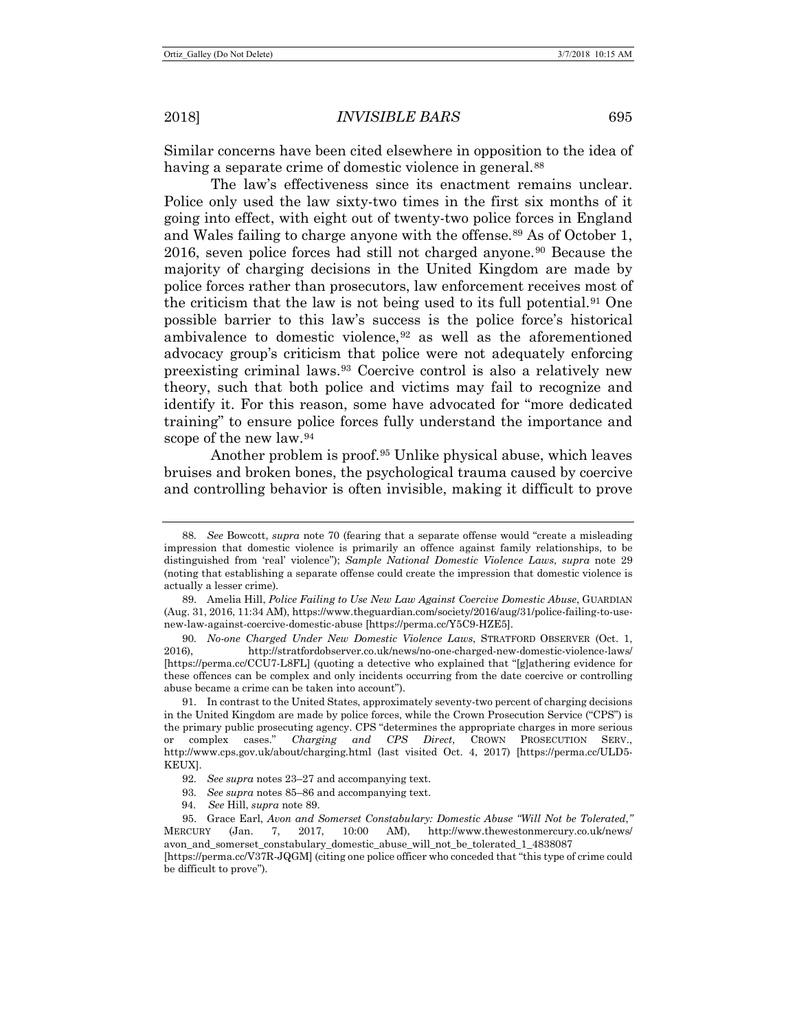Similar concerns have been cited elsewhere in opposition to the idea of having a separate crime of domestic violence in general.<sup>[88](#page-14-1)</sup>

<span id="page-14-0"></span>The law's effectiveness since its enactment remains unclear. Police only used the law sixty-two times in the first six months of it going into effect, with eight out of twenty-two police forces in England and Wales failing to charge anyone with the offense.<sup>[89](#page-14-2)</sup> As of October 1, 2016, seven police forces had still not charged anyone.[90](#page-14-3) Because the majority of charging decisions in the United Kingdom are made by police forces rather than prosecutors, law enforcement receives most of the criticism that the law is not being used to its full potential.<sup>[91](#page-14-4)</sup> One possible barrier to this law's success is the police force's historical ambivalence to domestic violence,  $92$  as well as the aforementioned advocacy group's criticism that police were not adequately enforcing preexisting criminal laws.[93](#page-14-6) Coercive control is also a relatively new theory, such that both police and victims may fail to recognize and identify it. For this reason, some have advocated for "more dedicated training" to ensure police forces fully understand the importance and scope of the new law.[94](#page-14-7)

Another problem is proof.<sup>[95](#page-14-8)</sup> Unlike physical abuse, which leaves bruises and broken bones, the psychological trauma caused by coercive and controlling behavior is often invisible, making it difficult to prove

- 93*. See supra* notes [85](#page-13-0)[–86](#page-13-9) and accompanying text.
- 94. *See* Hill, *supra* not[e 89.](#page-14-0)

<span id="page-14-1"></span><sup>88</sup>*. See* Bowcott, *supra* note [70](#page-11-7) (fearing that a separate offense would "create a misleading impression that domestic violence is primarily an offence against family relationships, to be distinguished from 'real' violence"); *Sample National Domestic Violence Laws*, *supra* note [29](#page-5-9) (noting that establishing a separate offense could create the impression that domestic violence is actually a lesser crime).

<span id="page-14-2"></span><sup>89.</sup> Amelia Hill, *Police Failing to Use New Law Against Coercive Domestic Abuse*, GUARDIAN (Aug. 31, 2016, 11:34 AM), https://www.theguardian.com/society/2016/aug/31/police-failing-to-usenew-law-against-coercive-domestic-abuse [https://perma.cc/Y5C9-HZE5].

<span id="page-14-3"></span><sup>90</sup>*. No-one Charged Under New Domestic Violence Laws*, STRATFORD OBSERVER (Oct. 1, 2016), http://stratfordobserver.co.uk/news/no-one-charged-new-domestic-violence-laws/ [https://perma.cc/CCU7-L8FL] (quoting a detective who explained that "[g]athering evidence for these offences can be complex and only incidents occurring from the date coercive or controlling abuse became a crime can be taken into account").

<span id="page-14-4"></span><sup>91.</sup> In contrast to the United States, approximately seventy-two percent of charging decisions in the United Kingdom are made by police forces, while the Crown Prosecution Service ("CPS") is the primary public prosecuting agency. CPS "determines the appropriate charges in more serious or complex cases." *Charging and CPS Direct*, CROWN PROSECUTION SERV., http://www.cps.gov.uk/about/charging.html (last visited Oct. 4, 2017) [https://perma.cc/ULD5- KEUX].

<sup>92</sup>*. See supra* notes [23](#page-5-10)[–27](#page-5-11) and accompanying text.

<span id="page-14-8"></span><span id="page-14-7"></span><span id="page-14-6"></span><span id="page-14-5"></span><sup>95.</sup> Grace Earl, *Avon and Somerset Constabulary: Domestic Abuse "Will Not be Tolerated*,*"* MERCURY (Jan. 7, 2017, 10:00 AM), http://www.thewestonmercury.co.uk/news/ avon\_and\_somerset\_constabulary\_domestic\_abuse\_will\_not\_be\_tolerated\_1\_4838087 [https://perma.cc/V37R-JQGM] (citing one police officer who conceded that "this type of crime could be difficult to prove").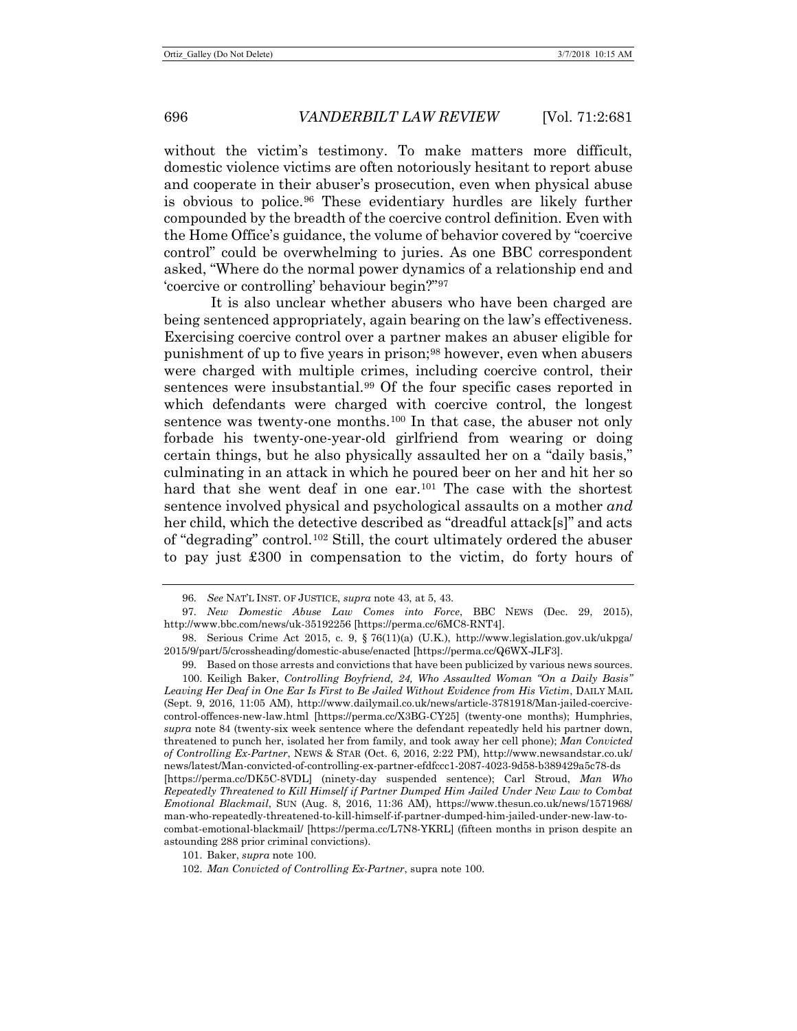without the victim's testimony. To make matters more difficult, domestic violence victims are often notoriously hesitant to report abuse and cooperate in their abuser's prosecution, even when physical abuse is obvious to police.[96](#page-15-1) These evidentiary hurdles are likely further compounded by the breadth of the coercive control definition. Even with the Home Office's guidance, the volume of behavior covered by "coercive control" could be overwhelming to juries. As one BBC correspondent asked, "Where do the normal power dynamics of a relationship end and 'coercive or controlling' behaviour begin?"[97](#page-15-2)

<span id="page-15-0"></span>It is also unclear whether abusers who have been charged are being sentenced appropriately, again bearing on the law's effectiveness. Exercising coercive control over a partner makes an abuser eligible for punishment of up to five years in prison;[98](#page-15-3) however, even when abusers were charged with multiple crimes, including coercive control, their sentences were insubstantial.[99](#page-15-4) Of the four specific cases reported in which defendants were charged with coercive control, the longest sentence was twenty-one months.<sup>[100](#page-15-5)</sup> In that case, the abuser not only forbade his twenty-one-year-old girlfriend from wearing or doing certain things, but he also physically assaulted her on a "daily basis," culminating in an attack in which he poured beer on her and hit her so hard that she went deaf in one ear.<sup>[101](#page-15-6)</sup> The case with the shortest sentence involved physical and psychological assaults on a mother *and* her child, which the detective described as "dreadful attack[s]" and acts of "degrading" control.[102](#page-15-7) Still, the court ultimately ordered the abuser to pay just £300 in compensation to the victim, do forty hours of

<span id="page-15-6"></span>101. Baker, *supra* not[e 100.](#page-15-0)

<sup>96</sup>*. See* NAT'L INST. OF JUSTICE, *supra* not[e 43,](#page-8-8) at 5, 43.

<span id="page-15-2"></span><span id="page-15-1"></span><sup>97</sup>*. New Domestic Abuse Law Comes into Force*, BBC NEWS (Dec. 29, 2015), http://www.bbc.com/news/uk-35192256 [https://perma.cc/6MC8-RNT4].

<span id="page-15-3"></span><sup>98.</sup> Serious Crime Act 2015, c. 9, § 76(11)(a) (U.K.), http://www.legislation.gov.uk/ukpga/ 2015/9/part/5/crossheading/domestic-abuse/enacted [https://perma.cc/Q6WX-JLF3].

<sup>99.</sup> Based on those arrests and convictions that have been publicized by various news sources.

<span id="page-15-5"></span><span id="page-15-4"></span><sup>100.</sup> Keiligh Baker, *Controlling Boyfriend, 24, Who Assaulted Woman "On a Daily Basis" Leaving Her Deaf in One Ear Is First to Be Jailed Without Evidence from His Victim*, DAILY MAIL (Sept. 9, 2016, 11:05 AM), http://www.dailymail.co.uk/news/article-3781918/Man-jailed-coercivecontrol-offences-new-law.html [https://perma.cc/X3BG-CY25] (twenty-one months); Humphries, *supra* note [84](#page-13-10) (twenty-six week sentence where the defendant repeatedly held his partner down, threatened to punch her, isolated her from family, and took away her cell phone); *Man Convicted of Controlling Ex-Partner*, NEWS & STAR (Oct. 6, 2016, 2:22 PM), http://www.newsandstar.co.uk/ news/latest/Man-convicted-of-controlling-ex-partner-efdfccc1-2087-4023-9d58-b389429a5c78-ds [https://perma.cc/DK5C-8VDL] (ninety-day suspended sentence); Carl Stroud, *Man Who Repeatedly Threatened to Kill Himself if Partner Dumped Him Jailed Under New Law to Combat Emotional Blackmail*, SUN (Aug. 8, 2016, 11:36 AM), https://www.thesun.co.uk/news/1571968/ man-who-repeatedly-threatened-to-kill-himself-if-partner-dumped-him-jailed-under-new-law-tocombat-emotional-blackmail/ [https://perma.cc/L7N8-YKRL] (fifteen months in prison despite an astounding 288 prior criminal convictions).

<span id="page-15-7"></span><sup>102.</sup> *Man Convicted of Controlling Ex-Partner*, supra note [100.](#page-15-0)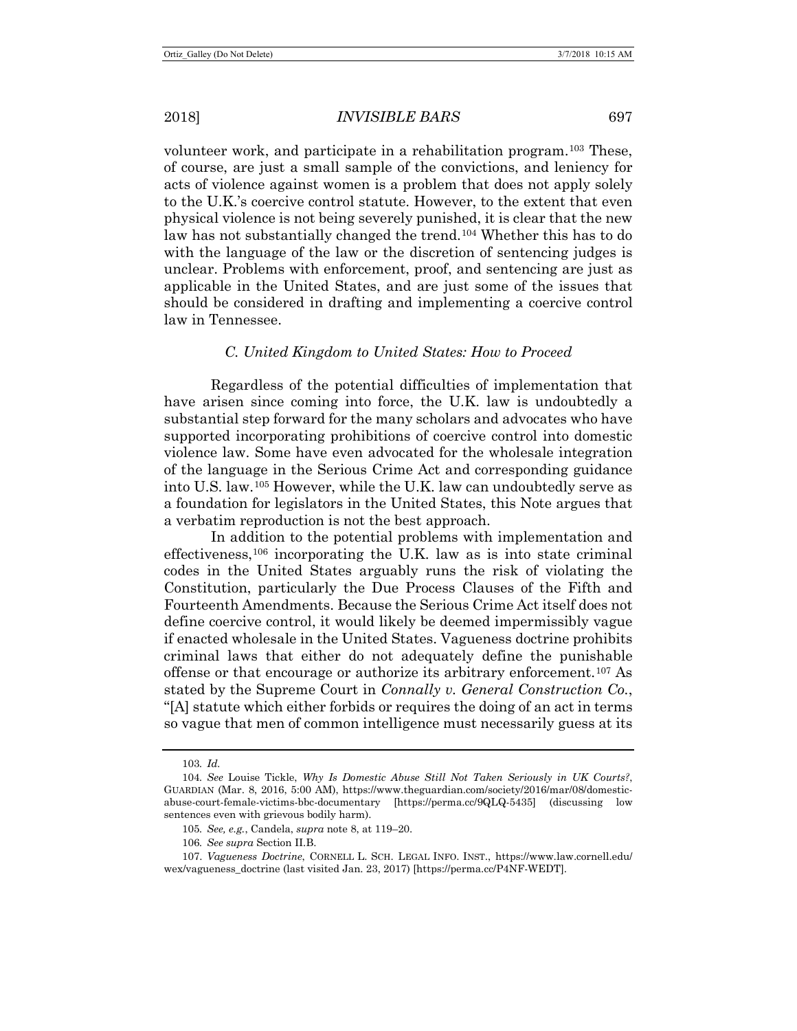2018] *INVISIBLE BARS* 697

volunteer work, and participate in a rehabilitation program.[103](#page-16-0) These, of course, are just a small sample of the convictions, and leniency for acts of violence against women is a problem that does not apply solely to the U.K.'s coercive control statute. However, to the extent that even physical violence is not being severely punished, it is clear that the new law has not substantially changed the trend.[104](#page-16-1) Whether this has to do with the language of the law or the discretion of sentencing judges is unclear. Problems with enforcement, proof, and sentencing are just as applicable in the United States, and are just some of the issues that should be considered in drafting and implementing a coercive control law in Tennessee.

## *C. United Kingdom to United States: How to Proceed*

Regardless of the potential difficulties of implementation that have arisen since coming into force, the U.K. law is undoubtedly a substantial step forward for the many scholars and advocates who have supported incorporating prohibitions of coercive control into domestic violence law. Some have even advocated for the wholesale integration of the language in the Serious Crime Act and corresponding guidance into U.S. law.[105](#page-16-2) However, while the U.K. law can undoubtedly serve as a foundation for legislators in the United States, this Note argues that a verbatim reproduction is not the best approach.

In addition to the potential problems with implementation and effectiveness,[106](#page-16-3) incorporating the U.K. law as is into state criminal codes in the United States arguably runs the risk of violating the Constitution, particularly the Due Process Clauses of the Fifth and Fourteenth Amendments. Because the Serious Crime Act itself does not define coercive control, it would likely be deemed impermissibly vague if enacted wholesale in the United States. Vagueness doctrine prohibits criminal laws that either do not adequately define the punishable offense or that encourage or authorize its arbitrary enforcement.<sup>[107](#page-16-4)</sup> As stated by the Supreme Court in *Connally v. General Construction Co.*, "[A] statute which either forbids or requires the doing of an act in terms so vague that men of common intelligence must necessarily guess at its

<sup>103</sup>*. Id.*

<span id="page-16-1"></span><span id="page-16-0"></span><sup>104</sup>*. See* Louise Tickle, *Why Is Domestic Abuse Still Not Taken Seriously in UK Courts?*, GUARDIAN (Mar. 8, 2016, 5:00 AM), https://www.theguardian.com/society/2016/mar/08/domesticabuse-court-female-victims-bbc-documentary [https://perma.cc/9QLQ-5435] (discussing low sentences even with grievous bodily harm).

<sup>105</sup>*. See, e.g.*, Candela, *supra* not[e 8,](#page-2-8) at 119–20.

<sup>106</sup>*. See supra* Section II.B.

<span id="page-16-4"></span><span id="page-16-3"></span><span id="page-16-2"></span><sup>107.</sup> *Vagueness Doctrine*, CORNELL L. SCH. LEGAL INFO. INST., https://www.law.cornell.edu/ wex/vagueness\_doctrine (last visited Jan. 23, 2017) [https://perma.cc/P4NF-WEDT].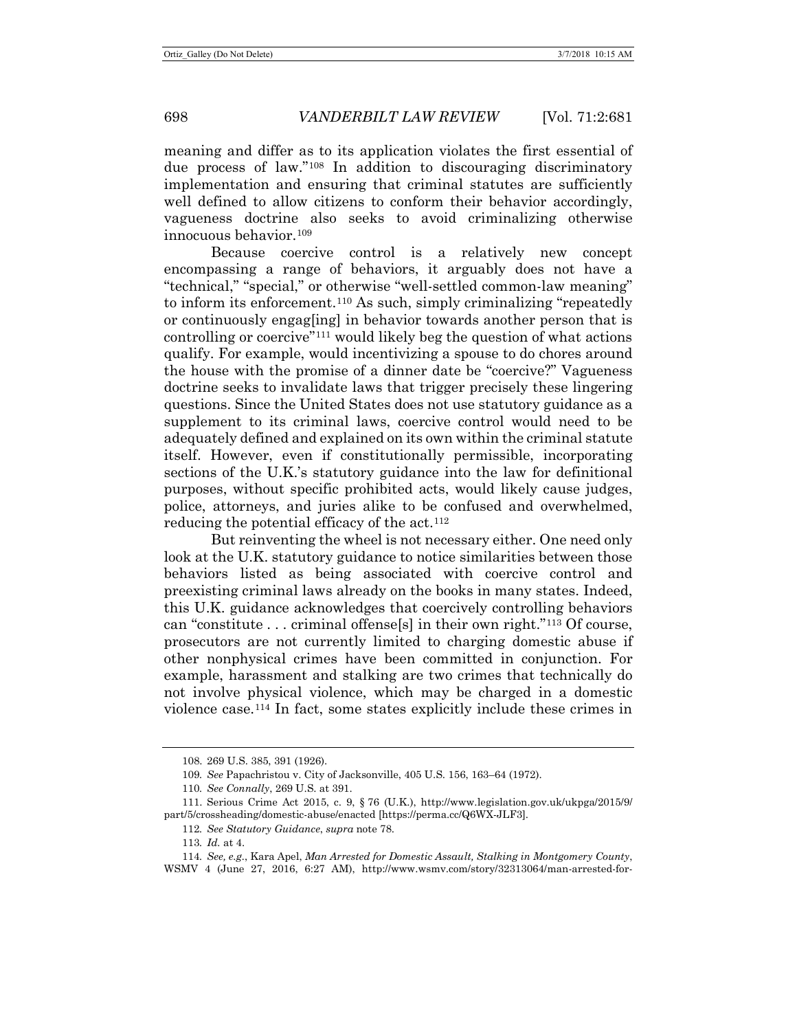meaning and differ as to its application violates the first essential of due process of law."[108](#page-17-0) In addition to discouraging discriminatory implementation and ensuring that criminal statutes are sufficiently well defined to allow citizens to conform their behavior accordingly, vagueness doctrine also seeks to avoid criminalizing otherwise innocuous behavior.[109](#page-17-1)

Because coercive control is a relatively new concept encompassing a range of behaviors, it arguably does not have a "technical," "special," or otherwise "well-settled common-law meaning" to inform its enforcement.[110](#page-17-2) As such, simply criminalizing "repeatedly or continuously engag[ing] in behavior towards another person that is controlling or coercive"[111](#page-17-3) would likely beg the question of what actions qualify. For example, would incentivizing a spouse to do chores around the house with the promise of a dinner date be "coercive?" Vagueness doctrine seeks to invalidate laws that trigger precisely these lingering questions. Since the United States does not use statutory guidance as a supplement to its criminal laws, coercive control would need to be adequately defined and explained on its own within the criminal statute itself. However, even if constitutionally permissible, incorporating sections of the U.K.'s statutory guidance into the law for definitional purposes, without specific prohibited acts, would likely cause judges, police, attorneys, and juries alike to be confused and overwhelmed, reducing the potential efficacy of the act.<sup>112</sup>

But reinventing the wheel is not necessary either. One need only look at the U.K. statutory guidance to notice similarities between those behaviors listed as being associated with coercive control and preexisting criminal laws already on the books in many states. Indeed, this U.K. guidance acknowledges that coercively controlling behaviors can "constitute . . . criminal offense[s] in their own right."[113](#page-17-5) Of course, prosecutors are not currently limited to charging domestic abuse if other nonphysical crimes have been committed in conjunction. For example, harassment and stalking are two crimes that technically do not involve physical violence, which may be charged in a domestic violence case.[114](#page-17-6) In fact, some states explicitly include these crimes in

<sup>108.</sup> 269 U.S. 385, 391 (1926).

<sup>109</sup>*. See* Papachristou v. City of Jacksonville, 405 U.S. 156, 163–64 (1972).

<sup>110</sup>*. See Connally*, 269 U.S. at 391.

<span id="page-17-4"></span><span id="page-17-3"></span><span id="page-17-2"></span><span id="page-17-1"></span><span id="page-17-0"></span><sup>111.</sup> Serious Crime Act 2015, c. 9, § 76 (U.K.), http://www.legislation.gov.uk/ukpga/2015/9/ part/5/crossheading/domestic-abuse/enacted [https://perma.cc/Q6WX-JLF3].

<sup>112</sup>*. See Statutory Guidance*, *supra* note [78.](#page-12-9)

<sup>113</sup>*. Id.* at 4.

<span id="page-17-6"></span><span id="page-17-5"></span><sup>114</sup>*. See, e.g.*, Kara Apel, *Man Arrested for Domestic Assault, Stalking in Montgomery County*, WSMV 4 (June 27, 2016, 6:27 AM), http://www.wsmv.com/story/32313064/man-arrested-for-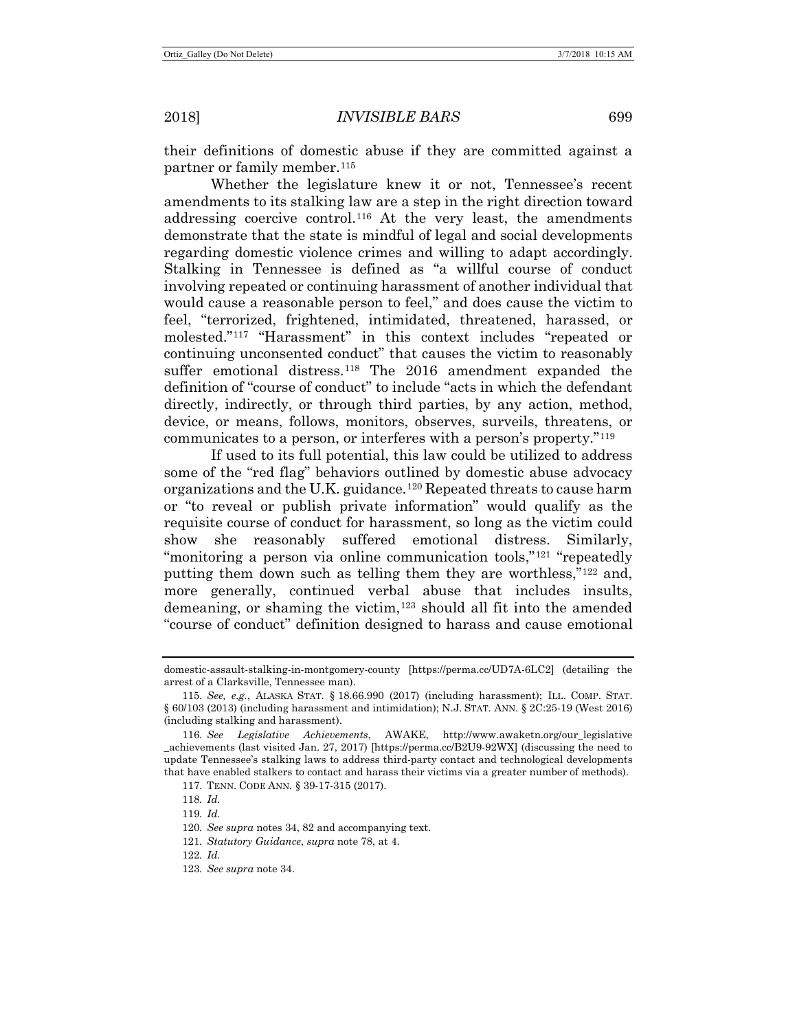their definitions of domestic abuse if they are committed against a partner or family member.<sup>[115](#page-18-0)</sup>

<span id="page-18-9"></span>Whether the legislature knew it or not, Tennessee's recent amendments to its stalking law are a step in the right direction toward addressing coercive control.[116](#page-18-1) At the very least, the amendments demonstrate that the state is mindful of legal and social developments regarding domestic violence crimes and willing to adapt accordingly. Stalking in Tennessee is defined as "a willful course of conduct involving repeated or continuing harassment of another individual that would cause a reasonable person to feel," and does cause the victim to feel, "terrorized, frightened, intimidated, threatened, harassed, or molested."[117](#page-18-2) "Harassment" in this context includes "repeated or continuing unconsented conduct" that causes the victim to reasonably suffer emotional distress.<sup>[118](#page-18-3)</sup> The 2016 amendment expanded the definition of "course of conduct" to include "acts in which the defendant directly, indirectly, or through third parties, by any action, method, device, or means, follows, monitors, observes, surveils, threatens, or communicates to a person, or interferes with a person's property."[119](#page-18-4)

If used to its full potential, this law could be utilized to address some of the "red flag" behaviors outlined by domestic abuse advocacy organizations and the U.K. guidance.[120](#page-18-5) Repeated threats to cause harm or "to reveal or publish private information" would qualify as the requisite course of conduct for harassment, so long as the victim could show she reasonably suffered emotional distress. Similarly, "monitoring a person via online communication tools,"<sup>[121](#page-18-6)</sup> "repeatedly" putting them down such as telling them they are worthless,  $i^{122}$  $i^{122}$  $i^{122}$  and, more generally, continued verbal abuse that includes insults, demeaning, or shaming the victim,[123](#page-18-8) should all fit into the amended "course of conduct" definition designed to harass and cause emotional

121*. Statutory Guidance*, *supra* not[e 78,](#page-12-9) at 4.

<span id="page-18-8"></span>123*. See supra* not[e 34.](#page-6-5)

domestic-assault-stalking-in-montgomery-county [https://perma.cc/UD7A-6LC2] (detailing the arrest of a Clarksville, Tennessee man).

<span id="page-18-0"></span><sup>115</sup>*. See, e.g.*, ALASKA STAT. § 18.66.990 (2017) (including harassment); ILL. COMP. STAT. § 60/103 (2013) (including harassment and intimidation); N.J. STAT. ANN. § 2C:25-19 (West 2016) (including stalking and harassment).

<span id="page-18-4"></span><span id="page-18-3"></span><span id="page-18-2"></span><span id="page-18-1"></span><sup>116</sup>*. See Legislative Achievements*, AWAKE, http://www.awaketn.org/our\_legislative \_achievements (last visited Jan. 27, 2017) [https://perma.cc/B2U9-92WX] (discussing the need to update Tennessee's stalking laws to address third-party contact and technological developments that have enabled stalkers to contact and harass their victims via a greater number of methods).

<sup>117.</sup> TENN. CODE ANN. § 39-17-315 (2017).

<sup>118</sup>*. Id.*

<sup>119</sup>*. Id.*

<span id="page-18-6"></span><span id="page-18-5"></span><sup>120</sup>*. See supra* notes [34,](#page-6-5) [82](#page-13-11) and accompanying text.

<span id="page-18-7"></span><sup>122</sup>*. Id.*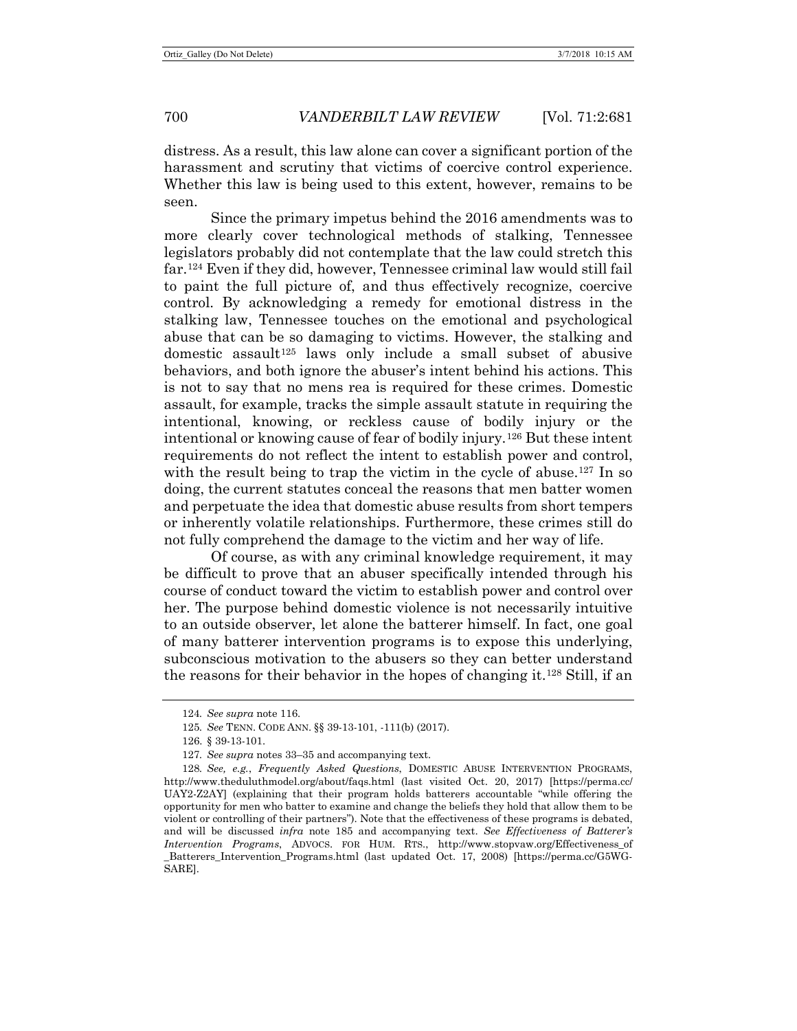distress. As a result, this law alone can cover a significant portion of the harassment and scrutiny that victims of coercive control experience. Whether this law is being used to this extent, however, remains to be seen.

Since the primary impetus behind the 2016 amendments was to more clearly cover technological methods of stalking, Tennessee legislators probably did not contemplate that the law could stretch this far.[124](#page-19-0) Even if they did, however, Tennessee criminal law would still fail to paint the full picture of, and thus effectively recognize, coercive control. By acknowledging a remedy for emotional distress in the stalking law, Tennessee touches on the emotional and psychological abuse that can be so damaging to victims. However, the stalking and domestic assault<sup>[125](#page-19-1)</sup> laws only include a small subset of abusive behaviors, and both ignore the abuser's intent behind his actions. This is not to say that no mens rea is required for these crimes. Domestic assault, for example, tracks the simple assault statute in requiring the intentional, knowing, or reckless cause of bodily injury or the intentional or knowing cause of fear of bodily injury.[126](#page-19-2) But these intent requirements do not reflect the intent to establish power and control, with the result being to trap the victim in the cycle of abuse.<sup>[127](#page-19-3)</sup> In so doing, the current statutes conceal the reasons that men batter women and perpetuate the idea that domestic abuse results from short tempers or inherently volatile relationships. Furthermore, these crimes still do not fully comprehend the damage to the victim and her way of life.

Of course, as with any criminal knowledge requirement, it may be difficult to prove that an abuser specifically intended through his course of conduct toward the victim to establish power and control over her. The purpose behind domestic violence is not necessarily intuitive to an outside observer, let alone the batterer himself. In fact, one goal of many batterer intervention programs is to expose this underlying, subconscious motivation to the abusers so they can better understand the reasons for their behavior in the hopes of changing it.[128](#page-19-4) Still, if an

<span id="page-19-5"></span><sup>124</sup>*. See supra* not[e 116.](#page-18-9)

<sup>125</sup>*. See* TENN. CODE ANN. §§ 39-13-101, -111(b) (2017).

<sup>126.</sup> § 39-13-101.

<sup>127</sup>*. See supra* notes [33](#page-6-6)[–35](#page-7-6) and accompanying text.

<span id="page-19-4"></span><span id="page-19-3"></span><span id="page-19-2"></span><span id="page-19-1"></span><span id="page-19-0"></span><sup>128</sup>*. See, e.g.*, *Frequently Asked Questions*, DOMESTIC ABUSE INTERVENTION PROGRAMS, http://www.theduluthmodel.org/about/faqs.html (last visited Oct. 20, 2017) [https://perma.cc/ UAY2-Z2AY] (explaining that their program holds batterers accountable "while offering the opportunity for men who batter to examine and change the beliefs they hold that allow them to be violent or controlling of their partners"). Note that the effectiveness of these programs is debated, and will be discussed *infra* note [185](#page-31-0) and accompanying text. *See Effectiveness of Batterer's Intervention Programs*, ADVOCS. FOR HUM. RTS., http://www.stopvaw.org/Effectiveness\_of \_Batterers\_Intervention\_Programs.html (last updated Oct. 17, 2008) [https://perma.cc/G5WG-SARE].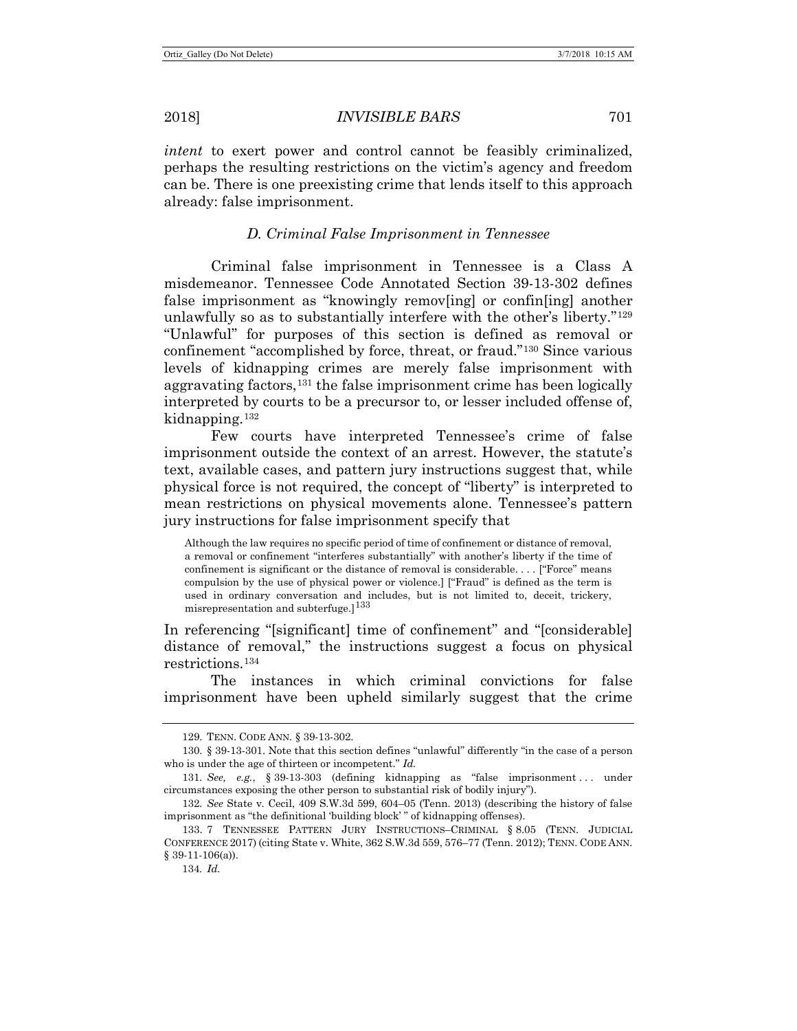*intent* to exert power and control cannot be feasibly criminalized, perhaps the resulting restrictions on the victim's agency and freedom can be. There is one preexisting crime that lends itself to this approach already: false imprisonment.

## *D. Criminal False Imprisonment in Tennessee*

Criminal false imprisonment in Tennessee is a Class A misdemeanor. Tennessee Code Annotated Section 39-13-302 defines false imprisonment as "knowingly remov[ing] or confin[ing] another unlawfully so as to substantially interfere with the other's liberty."[129](#page-20-0) "Unlawful" for purposes of this section is defined as removal or confinement "accomplished by force, threat, or fraud."[130](#page-20-1) Since various levels of kidnapping crimes are merely false imprisonment with aggravating factors,<sup>[131](#page-20-2)</sup> the false imprisonment crime has been logically interpreted by courts to be a precursor to, or lesser included offense of, kidnapping[.132](#page-20-3)

<span id="page-20-7"></span><span id="page-20-6"></span>Few courts have interpreted Tennessee's crime of false imprisonment outside the context of an arrest. However, the statute's text, available cases, and pattern jury instructions suggest that, while physical force is not required, the concept of "liberty" is interpreted to mean restrictions on physical movements alone. Tennessee's pattern jury instructions for false imprisonment specify that

Although the law requires no specific period of time of confinement or distance of removal, a removal or confinement "interferes substantially" with another's liberty if the time of confinement is significant or the distance of removal is considerable. . . . ["Force" means compulsion by the use of physical power or violence.] ["Fraud" is defined as the term is used in ordinary conversation and includes, but is not limited to, deceit, trickery, misrepresentation and subterfuge.] $133$ 

In referencing "[significant] time of confinement" and "[considerable] distance of removal," the instructions suggest a focus on physical restrictions.[134](#page-20-5)

The instances in which criminal convictions for false imprisonment have been upheld similarly suggest that the crime

<sup>129.</sup> TENN. CODE ANN. § 39-13-302.

<span id="page-20-1"></span><span id="page-20-0"></span><sup>130.</sup> § 39-13-301. Note that this section defines "unlawful" differently "in the case of a person who is under the age of thirteen or incompetent." *Id.*

<span id="page-20-2"></span><sup>131</sup>*. See, e.g.*, § 39-13-303 (defining kidnapping as "false imprisonment . . . under circumstances exposing the other person to substantial risk of bodily injury").

<span id="page-20-3"></span><sup>132</sup>*. See* State v. Cecil, 409 S.W.3d 599, 604–05 (Tenn. 2013) (describing the history of false imprisonment as "the definitional 'building block' " of kidnapping offenses).

<span id="page-20-5"></span><span id="page-20-4"></span><sup>133.</sup> 7 TENNESSEE PATTERN JURY INSTRUCTIONS–CRIMINAL § 8.05 (TENN. JUDICIAL CONFERENCE 2017) (citing State v. White, 362 S.W.3d 559, 576–77 (Tenn. 2012); TENN. CODE ANN.  $§ 39-11-106(a)$ .

<sup>134</sup>*. Id.*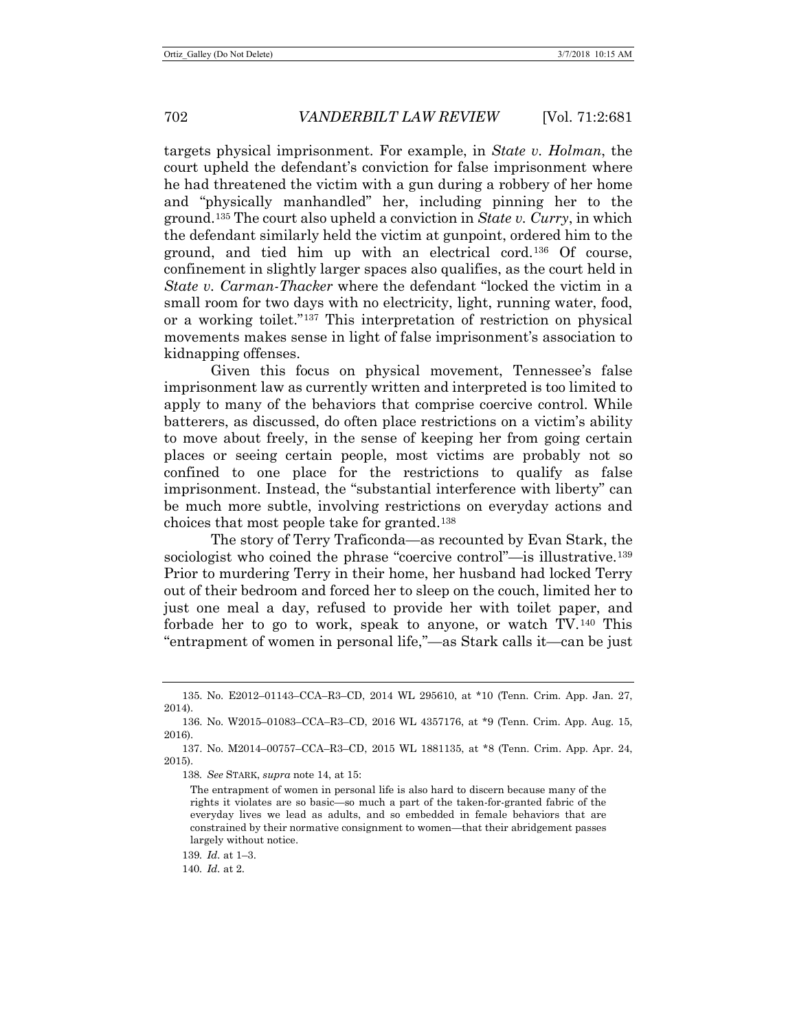targets physical imprisonment. For example, in *State v. Holman*, the court upheld the defendant's conviction for false imprisonment where he had threatened the victim with a gun during a robbery of her home and "physically manhandled" her, including pinning her to the ground.[135](#page-21-0) The court also upheld a conviction in *State v. Curry*, in which the defendant similarly held the victim at gunpoint, ordered him to the ground, and tied him up with an electrical cord.[136](#page-21-1) Of course, confinement in slightly larger spaces also qualifies, as the court held in *State v. Carman-Thacker* where the defendant "locked the victim in a small room for two days with no electricity, light, running water, food, or a working toilet.["137](#page-21-2) This interpretation of restriction on physical movements makes sense in light of false imprisonment's association to kidnapping offenses.

Given this focus on physical movement, Tennessee's false imprisonment law as currently written and interpreted is too limited to apply to many of the behaviors that comprise coercive control. While batterers, as discussed, do often place restrictions on a victim's ability to move about freely, in the sense of keeping her from going certain places or seeing certain people, most victims are probably not so confined to one place for the restrictions to qualify as false imprisonment. Instead, the "substantial interference with liberty" can be much more subtle, involving restrictions on everyday actions and choices that most people take for granted.[138](#page-21-3)

The story of Terry Traficonda—as recounted by Evan Stark, the sociologist who coined the phrase "coercive control"—is illustrative.[139](#page-21-4) Prior to murdering Terry in their home, her husband had locked Terry out of their bedroom and forced her to sleep on the couch, limited her to just one meal a day, refused to provide her with toilet paper, and forbade her to go to work, speak to anyone, or watch TV.[140](#page-21-5) This "entrapment of women in personal life,"—as Stark calls it—can be just

138*. See* STARK, *supra* not[e 14,](#page-4-8) at 15:

<span id="page-21-5"></span>140*. Id.* at 2.

<span id="page-21-0"></span><sup>135.</sup> No. E2012–01143–CCA–R3–CD, 2014 WL 295610, at \*10 (Tenn. Crim. App. Jan. 27, 2014).

<span id="page-21-1"></span><sup>136.</sup> No. W2015–01083–CCA–R3–CD, 2016 WL 4357176, at \*9 (Tenn. Crim. App. Aug. 15, 2016).

<span id="page-21-3"></span><span id="page-21-2"></span><sup>137.</sup> No. M2014–00757–CCA–R3–CD, 2015 WL 1881135, at \*8 (Tenn. Crim. App. Apr. 24, 2015).

The entrapment of women in personal life is also hard to discern because many of the rights it violates are so basic—so much a part of the taken-for-granted fabric of the everyday lives we lead as adults, and so embedded in female behaviors that are constrained by their normative consignment to women—that their abridgement passes largely without notice.

<span id="page-21-4"></span><sup>139</sup>*. Id.* at 1–3.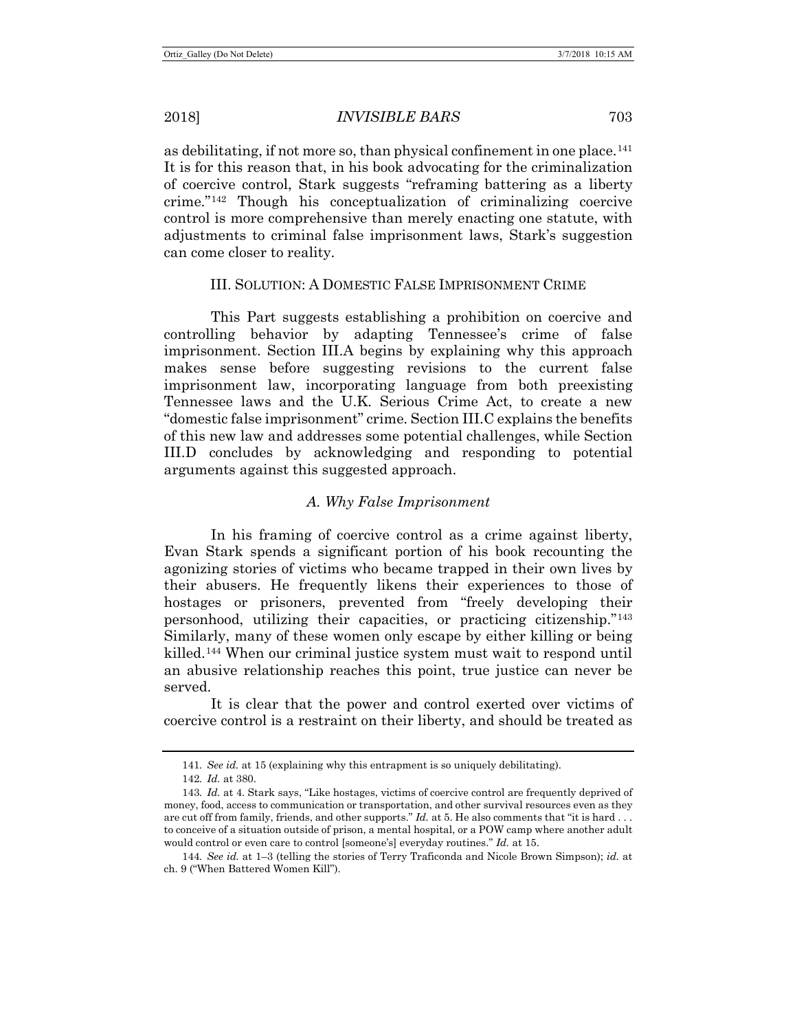as debilitating, if not more so, than physical confinement in one place.<sup>[141](#page-22-0)</sup> It is for this reason that, in his book advocating for the criminalization of coercive control, Stark suggests "reframing battering as a liberty crime."[142](#page-22-1) Though his conceptualization of criminalizing coercive control is more comprehensive than merely enacting one statute, with adjustments to criminal false imprisonment laws, Stark's suggestion can come closer to reality.

# III. SOLUTION: A DOMESTIC FALSE IMPRISONMENT CRIME

This Part suggests establishing a prohibition on coercive and controlling behavior by adapting Tennessee's crime of false imprisonment. Section III.A begins by explaining why this approach makes sense before suggesting revisions to the current false imprisonment law, incorporating language from both preexisting Tennessee laws and the U.K. Serious Crime Act, to create a new "domestic false imprisonment" crime. Section III.C explains the benefits of this new law and addresses some potential challenges, while Section III.D concludes by acknowledging and responding to potential arguments against this suggested approach.

## *A. Why False Imprisonment*

In his framing of coercive control as a crime against liberty, Evan Stark spends a significant portion of his book recounting the agonizing stories of victims who became trapped in their own lives by their abusers. He frequently likens their experiences to those of hostages or prisoners, prevented from "freely developing their personhood, utilizing their capacities, or practicing citizenship."[143](#page-22-2) Similarly, many of these women only escape by either killing or being killed.[144](#page-22-3) When our criminal justice system must wait to respond until an abusive relationship reaches this point, true justice can never be served.

It is clear that the power and control exerted over victims of coercive control is a restraint on their liberty, and should be treated as

<sup>141</sup>*. See id.* at 15 (explaining why this entrapment is so uniquely debilitating).

<sup>142</sup>*. Id.* at 380.

<span id="page-22-2"></span><span id="page-22-1"></span><span id="page-22-0"></span><sup>143</sup>*. Id.* at 4. Stark says, "Like hostages, victims of coercive control are frequently deprived of money, food, access to communication or transportation, and other survival resources even as they are cut off from family, friends, and other supports." *Id.* at 5. He also comments that "it is hard . . . to conceive of a situation outside of prison, a mental hospital, or a POW camp where another adult would control or even care to control [someone's] everyday routines." *Id.* at 15.

<span id="page-22-3"></span><sup>144</sup>*. See id.* at 1–3 (telling the stories of Terry Traficonda and Nicole Brown Simpson); *id.* at ch. 9 ("When Battered Women Kill").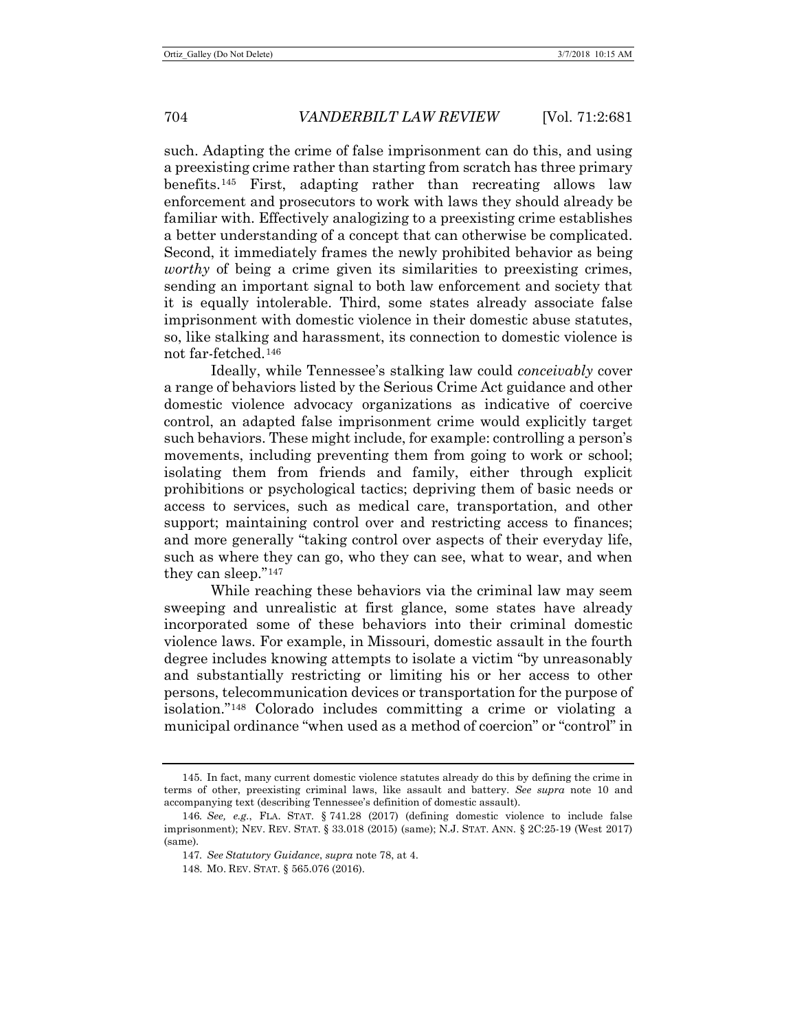such. Adapting the crime of false imprisonment can do this, and using a preexisting crime rather than starting from scratch has three primary benefits.[145](#page-23-0) First, adapting rather than recreating allows law enforcement and prosecutors to work with laws they should already be familiar with. Effectively analogizing to a preexisting crime establishes a better understanding of a concept that can otherwise be complicated. Second, it immediately frames the newly prohibited behavior as being *worthy* of being a crime given its similarities to preexisting crimes, sending an important signal to both law enforcement and society that it is equally intolerable. Third, some states already associate false imprisonment with domestic violence in their domestic abuse statutes, so, like stalking and harassment, its connection to domestic violence is not far-fetched.[146](#page-23-1)

Ideally, while Tennessee's stalking law could *conceivably* cover a range of behaviors listed by the Serious Crime Act guidance and other domestic violence advocacy organizations as indicative of coercive control, an adapted false imprisonment crime would explicitly target such behaviors. These might include, for example: controlling a person's movements, including preventing them from going to work or school; isolating them from friends and family, either through explicit prohibitions or psychological tactics; depriving them of basic needs or access to services, such as medical care, transportation, and other support; maintaining control over and restricting access to finances; and more generally "taking control over aspects of their everyday life, such as where they can go, who they can see, what to wear, and when they can sleep."[147](#page-23-2)

While reaching these behaviors via the criminal law may seem sweeping and unrealistic at first glance, some states have already incorporated some of these behaviors into their criminal domestic violence laws. For example, in Missouri, domestic assault in the fourth degree includes knowing attempts to isolate a victim "by unreasonably and substantially restricting or limiting his or her access to other persons, telecommunication devices or transportation for the purpose of isolation.["148](#page-23-3) Colorado includes committing a crime or violating a municipal ordinance "when used as a method of coercion" or "control" in

<span id="page-23-0"></span><sup>145.</sup> In fact, many current domestic violence statutes already do this by defining the crime in terms of other, preexisting criminal laws, like assault and battery. *See supra* note [10](#page-2-9) and accompanying text (describing Tennessee's definition of domestic assault).

<span id="page-23-3"></span><span id="page-23-2"></span><span id="page-23-1"></span><sup>146</sup>*. See, e.g.*, FLA. STAT. § 741.28 (2017) (defining domestic violence to include false imprisonment); NEV. REV. STAT. § 33.018 (2015) (same); N.J. STAT. ANN. § 2C:25-19 (West 2017) (same).

<sup>147</sup>*. See Statutory Guidance*, *supra* not[e 78,](#page-12-9) at 4.

<sup>148.</sup> MO. REV. STAT. § 565.076 (2016).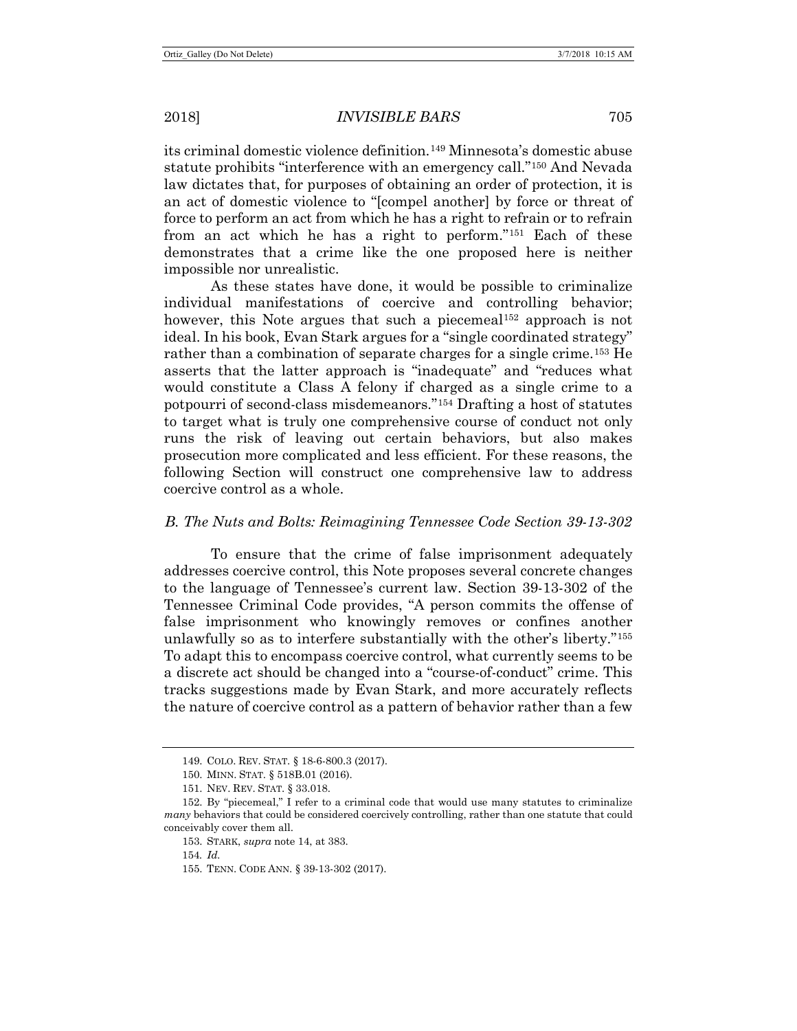its criminal domestic violence definition.[149](#page-24-0) Minnesota's domestic abuse statute prohibits "interference with an emergency call."[150](#page-24-1) And Nevada law dictates that, for purposes of obtaining an order of protection, it is an act of domestic violence to "[compel another] by force or threat of force to perform an act from which he has a right to refrain or to refrain from an act which he has a right to perform."[151](#page-24-2) Each of these demonstrates that a crime like the one proposed here is neither impossible nor unrealistic.

As these states have done, it would be possible to criminalize individual manifestations of coercive and controlling behavior; however, this Note argues that such a piecemeal<sup>[152](#page-24-3)</sup> approach is not ideal. In his book, Evan Stark argues for a "single coordinated strategy" rather than a combination of separate charges for a single crime.[153](#page-24-4) He asserts that the latter approach is "inadequate" and "reduces what would constitute a Class A felony if charged as a single crime to a potpourri of second-class misdemeanors.["154](#page-24-5) Drafting a host of statutes to target what is truly one comprehensive course of conduct not only runs the risk of leaving out certain behaviors, but also makes prosecution more complicated and less efficient. For these reasons, the following Section will construct one comprehensive law to address coercive control as a whole.

## *B. The Nuts and Bolts: Reimagining Tennessee Code Section 39-13-302*

To ensure that the crime of false imprisonment adequately addresses coercive control, this Note proposes several concrete changes to the language of Tennessee's current law. Section 39-13-302 of the Tennessee Criminal Code provides, "A person commits the offense of false imprisonment who knowingly removes or confines another unlawfully so as to interfere substantially with the other's liberty.["155](#page-24-6) To adapt this to encompass coercive control, what currently seems to be a discrete act should be changed into a "course-of-conduct" crime. This tracks suggestions made by Evan Stark, and more accurately reflects the nature of coercive control as a pattern of behavior rather than a few

<sup>149.</sup> COLO. REV. STAT. § 18-6-800.3 (2017).

<sup>150.</sup> MINN. STAT. § 518B.01 (2016).

<sup>151.</sup> NEV. REV. STAT. § 33.018.

<span id="page-24-6"></span><span id="page-24-5"></span><span id="page-24-4"></span><span id="page-24-3"></span><span id="page-24-2"></span><span id="page-24-1"></span><span id="page-24-0"></span><sup>152.</sup> By "piecemeal," I refer to a criminal code that would use many statutes to criminalize *many* behaviors that could be considered coercively controlling, rather than one statute that could conceivably cover them all.

<sup>153.</sup> STARK, *supra* note [14,](#page-4-8) at 383.

<sup>154</sup>*. Id.*

<sup>155.</sup> TENN. CODE ANN. § 39-13-302 (2017).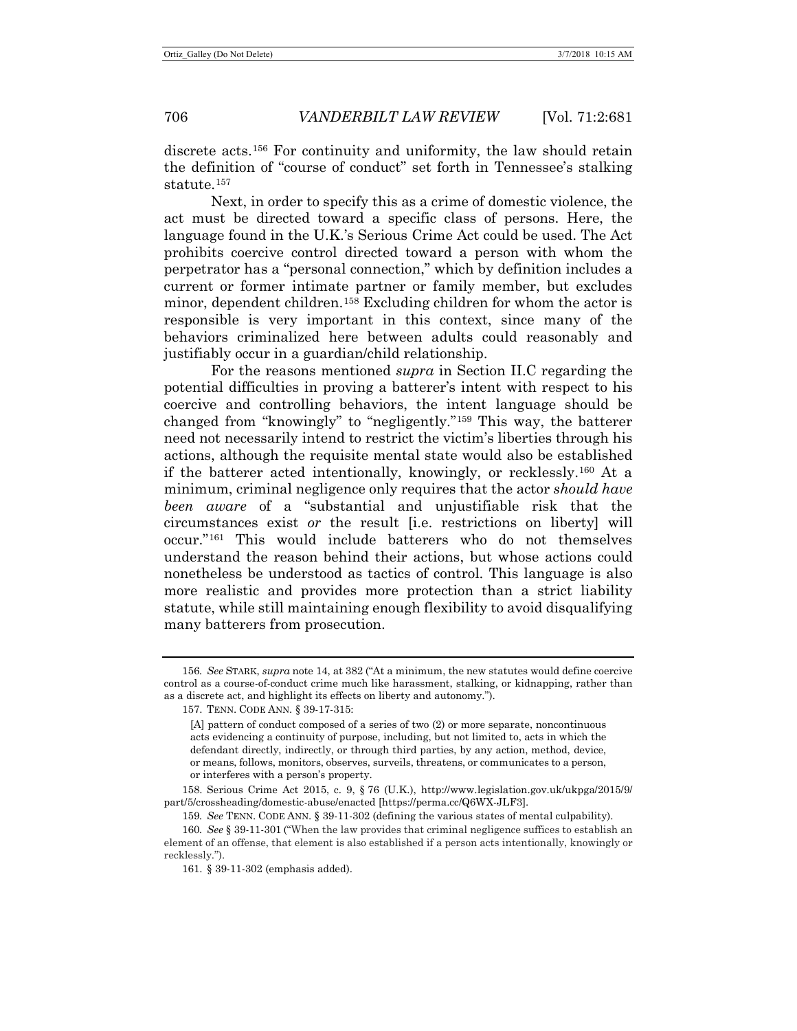discrete acts.[156](#page-25-0) For continuity and uniformity, the law should retain the definition of "course of conduct" set forth in Tennessee's stalking statute.[157](#page-25-1)

Next, in order to specify this as a crime of domestic violence, the act must be directed toward a specific class of persons. Here, the language found in the U.K.'s Serious Crime Act could be used. The Act prohibits coercive control directed toward a person with whom the perpetrator has a "personal connection," which by definition includes a current or former intimate partner or family member, but excludes minor, dependent children.[158](#page-25-2) Excluding children for whom the actor is responsible is very important in this context, since many of the behaviors criminalized here between adults could reasonably and justifiably occur in a guardian/child relationship.

For the reasons mentioned *supra* in Section II.C regarding the potential difficulties in proving a batterer's intent with respect to his coercive and controlling behaviors, the intent language should be changed from "knowingly" to "negligently."[159](#page-25-3) This way, the batterer need not necessarily intend to restrict the victim's liberties through his actions, although the requisite mental state would also be established if the batterer acted intentionally, knowingly, or recklessly.[160](#page-25-4) At a minimum, criminal negligence only requires that the actor *should have been aware* of a "substantial and unjustifiable risk that the circumstances exist *or* the result [i.e. restrictions on liberty] will occur."[161](#page-25-5) This would include batterers who do not themselves understand the reason behind their actions, but whose actions could nonetheless be understood as tactics of control. This language is also more realistic and provides more protection than a strict liability statute, while still maintaining enough flexibility to avoid disqualifying many batterers from prosecution.

<span id="page-25-2"></span>158. Serious Crime Act 2015, c. 9, § 76 (U.K.), http://www.legislation.gov.uk/ukpga/2015/9/ part/5/crossheading/domestic-abuse/enacted [https://perma.cc/Q6WX-JLF3].

<span id="page-25-1"></span><span id="page-25-0"></span><sup>156</sup>*. See* STARK, *supra* not[e 14,](#page-4-8) at 382 ("At a minimum, the new statutes would define coercive control as a course-of-conduct crime much like harassment, stalking, or kidnapping, rather than as a discrete act, and highlight its effects on liberty and autonomy.").

<sup>157.</sup> TENN. CODE ANN. § 39-17-315:

<sup>[</sup>A] pattern of conduct composed of a series of two (2) or more separate, noncontinuous acts evidencing a continuity of purpose, including, but not limited to, acts in which the defendant directly, indirectly, or through third parties, by any action, method, device, or means, follows, monitors, observes, surveils, threatens, or communicates to a person, or interferes with a person's property.

<sup>159</sup>*. See* TENN. CODE ANN. § 39-11-302 (defining the various states of mental culpability).

<span id="page-25-5"></span><span id="page-25-4"></span><span id="page-25-3"></span><sup>160</sup>*. See* § 39-11-301 ("When the law provides that criminal negligence suffices to establish an element of an offense, that element is also established if a person acts intentionally, knowingly or recklessly.").

<sup>161.</sup> § 39-11-302 (emphasis added).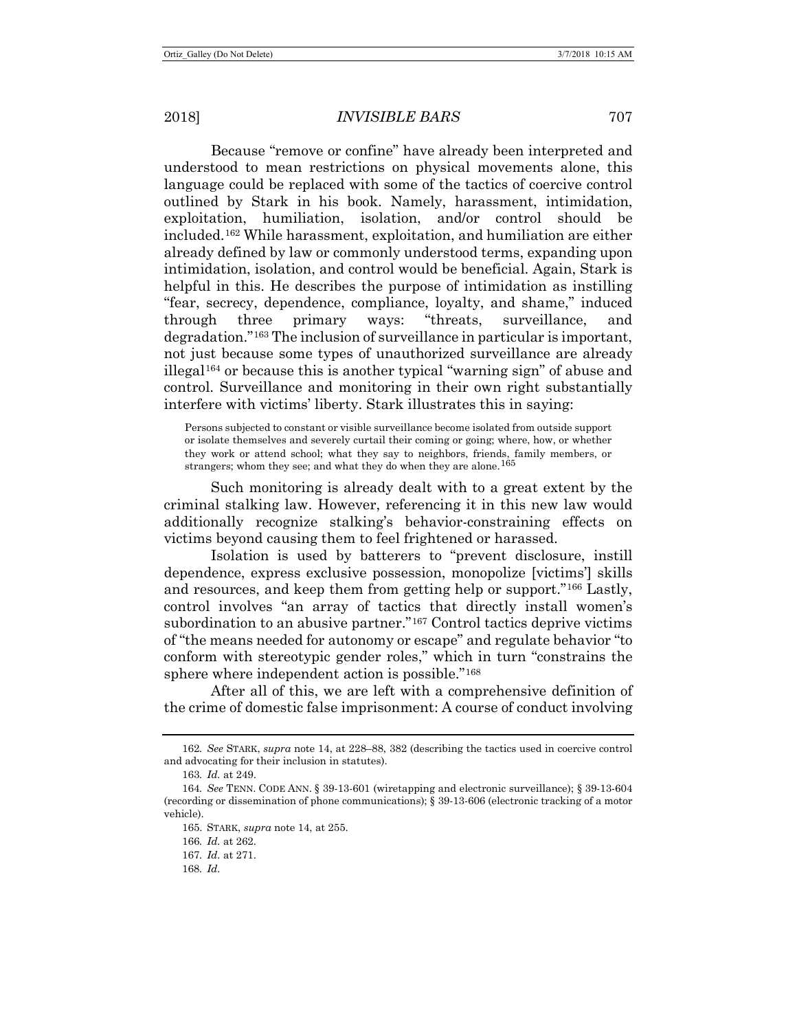Because "remove or confine" have already been interpreted and understood to mean restrictions on physical movements alone, this language could be replaced with some of the tactics of coercive control outlined by Stark in his book. Namely, harassment, intimidation, exploitation, humiliation, isolation, and/or control should be included.[162](#page-26-0) While harassment, exploitation, and humiliation are either already defined by law or commonly understood terms, expanding upon intimidation, isolation, and control would be beneficial. Again, Stark is helpful in this. He describes the purpose of intimidation as instilling "fear, secrecy, dependence, compliance, loyalty, and shame," induced through three primary ways: "threats, surveillance, and degradation."[163](#page-26-1) The inclusion of surveillance in particular is important, not just because some types of unauthorized surveillance are already illegal[164](#page-26-2) or because this is another typical "warning sign" of abuse and control. Surveillance and monitoring in their own right substantially interfere with victims' liberty. Stark illustrates this in saying:

Persons subjected to constant or visible surveillance become isolated from outside support or isolate themselves and severely curtail their coming or going; where, how, or whether they work or attend school; what they say to neighbors, friends, family members, or strangers; whom they see; and what they do when they are alone.[165](#page-26-3)

Such monitoring is already dealt with to a great extent by the criminal stalking law. However, referencing it in this new law would additionally recognize stalking's behavior-constraining effects on victims beyond causing them to feel frightened or harassed.

Isolation is used by batterers to "prevent disclosure, instill dependence, express exclusive possession, monopolize [victims'] skills and resources, and keep them from getting help or support."[166](#page-26-4) Lastly, control involves "an array of tactics that directly install women's subordination to an abusive partner."[167](#page-26-5) Control tactics deprive victims of "the means needed for autonomy or escape" and regulate behavior "to conform with stereotypic gender roles," which in turn "constrains the sphere where independent action is possible."[168](#page-26-6)

After all of this, we are left with a comprehensive definition of the crime of domestic false imprisonment: A course of conduct involving

165. STARK, *supra* note [14,](#page-4-8) at 255.

<span id="page-26-0"></span><sup>162</sup>*. See* STARK, *supra* note [14,](#page-4-8) at 228–88, 382 (describing the tactics used in coercive control and advocating for their inclusion in statutes).

<sup>163</sup>*. Id.* at 249.

<span id="page-26-5"></span><span id="page-26-4"></span><span id="page-26-3"></span><span id="page-26-2"></span><span id="page-26-1"></span><sup>164</sup>*. See* TENN. CODE ANN. § 39-13-601 (wiretapping and electronic surveillance); § 39-13-604 (recording or dissemination of phone communications); § 39-13-606 (electronic tracking of a motor vehicle).

<sup>166</sup>*. Id.* at 262.

<sup>167</sup>*. Id.* at 271.

<span id="page-26-6"></span><sup>168</sup>*. Id.*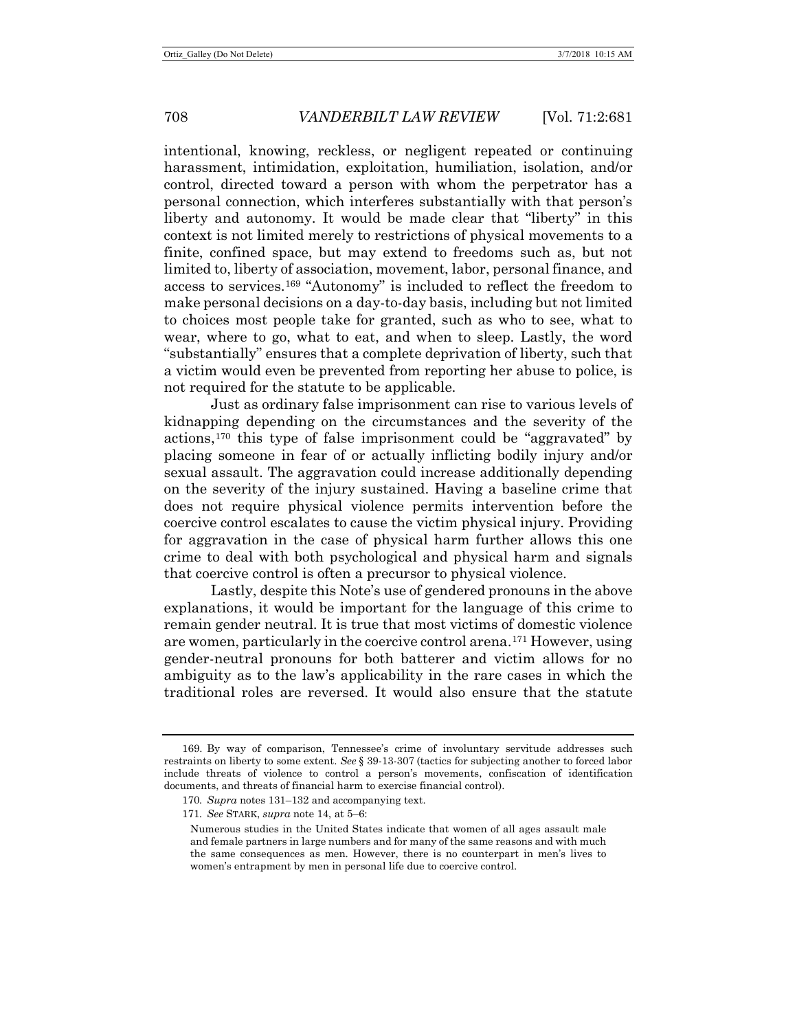intentional, knowing, reckless, or negligent repeated or continuing harassment, intimidation, exploitation, humiliation, isolation, and/or control, directed toward a person with whom the perpetrator has a personal connection, which interferes substantially with that person's liberty and autonomy. It would be made clear that "liberty" in this context is not limited merely to restrictions of physical movements to a finite, confined space, but may extend to freedoms such as, but not limited to, liberty of association, movement, labor, personal finance, and access to services.[169](#page-27-0) "Autonomy" is included to reflect the freedom to make personal decisions on a day-to-day basis, including but not limited to choices most people take for granted, such as who to see, what to wear, where to go, what to eat, and when to sleep. Lastly, the word "substantially" ensures that a complete deprivation of liberty, such that a victim would even be prevented from reporting her abuse to police, is not required for the statute to be applicable.

Just as ordinary false imprisonment can rise to various levels of kidnapping depending on the circumstances and the severity of the actions,[170](#page-27-1) this type of false imprisonment could be "aggravated" by placing someone in fear of or actually inflicting bodily injury and/or sexual assault. The aggravation could increase additionally depending on the severity of the injury sustained. Having a baseline crime that does not require physical violence permits intervention before the coercive control escalates to cause the victim physical injury. Providing for aggravation in the case of physical harm further allows this one crime to deal with both psychological and physical harm and signals that coercive control is often a precursor to physical violence.

Lastly, despite this Note's use of gendered pronouns in the above explanations, it would be important for the language of this crime to remain gender neutral. It is true that most victims of domestic violence are women, particularly in the coercive control arena.[171](#page-27-2) However, using gender-neutral pronouns for both batterer and victim allows for no ambiguity as to the law's applicability in the rare cases in which the traditional roles are reversed. It would also ensure that the statute

<span id="page-27-2"></span><span id="page-27-1"></span><span id="page-27-0"></span><sup>169.</sup> By way of comparison, Tennessee's crime of involuntary servitude addresses such restraints on liberty to some extent. *See* § 39-13-307 (tactics for subjecting another to forced labor include threats of violence to control a person's movements, confiscation of identification documents, and threats of financial harm to exercise financial control).

<sup>170</sup>*. Supra* notes [131–](#page-20-6)[132](#page-20-7) and accompanying text.

<sup>171</sup>*. See* STARK, *supra* not[e 14,](#page-4-8) at 5–6:

Numerous studies in the United States indicate that women of all ages assault male and female partners in large numbers and for many of the same reasons and with much the same consequences as men. However, there is no counterpart in men's lives to women's entrapment by men in personal life due to coercive control.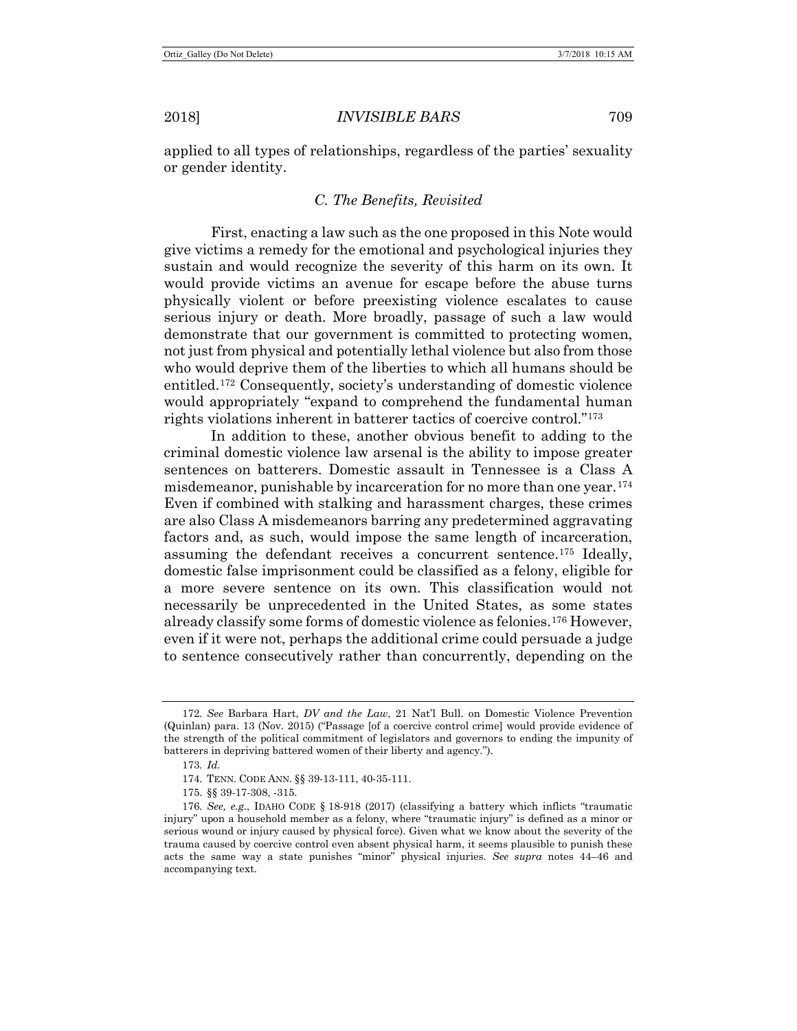applied to all types of relationships, regardless of the parties' sexuality or gender identity.

## *C. The Benefits, Revisited*

First, enacting a law such as the one proposed in this Note would give victims a remedy for the emotional and psychological injuries they sustain and would recognize the severity of this harm on its own. It would provide victims an avenue for escape before the abuse turns physically violent or before preexisting violence escalates to cause serious injury or death. More broadly, passage of such a law would demonstrate that our government is committed to protecting women, not just from physical and potentially lethal violence but also from those who would deprive them of the liberties to which all humans should be entitled.[172](#page-28-0) Consequently, society's understanding of domestic violence would appropriately "expand to comprehend the fundamental human rights violations inherent in batterer tactics of coercive control."[173](#page-28-1)

In addition to these, another obvious benefit to adding to the criminal domestic violence law arsenal is the ability to impose greater sentences on batterers. Domestic assault in Tennessee is a Class A misdemeanor, punishable by incarceration for no more than one year.[174](#page-28-2) Even if combined with stalking and harassment charges, these crimes are also Class A misdemeanors barring any predetermined aggravating factors and, as such, would impose the same length of incarceration, assuming the defendant receives a concurrent sentence.[175](#page-28-3) Ideally, domestic false imprisonment could be classified as a felony, eligible for a more severe sentence on its own. This classification would not necessarily be unprecedented in the United States, as some states already classify some forms of domestic violence as felonies.[176](#page-28-4) However, even if it were not, perhaps the additional crime could persuade a judge to sentence consecutively rather than concurrently, depending on the

175. §§ 39-17-308, -315.

<span id="page-28-0"></span><sup>172</sup>*. See* Barbara Hart, *DV and the Law*, 21 Nat'l Bull. on Domestic Violence Prevention (Quinlan) para. 13 (Nov. 2015) ("Passage [of a coercive control crime] would provide evidence of the strength of the political commitment of legislators and governors to ending the impunity of batterers in depriving battered women of their liberty and agency.").

<sup>173</sup>*. Id.*

<sup>174.</sup> TENN. CODE ANN. §§ 39-13-111, 40-35-111.

<span id="page-28-4"></span><span id="page-28-3"></span><span id="page-28-2"></span><span id="page-28-1"></span><sup>176</sup>*. See, e.g.*, IDAHO CODE § 18-918 (2017) (classifying a battery which inflicts "traumatic injury" upon a household member as a felony, where "traumatic injury" is defined as a minor or serious wound or injury caused by physical force). Given what we know about the severity of the trauma caused by coercive control even absent physical harm, it seems plausible to punish these acts the same way a state punishes "minor" physical injuries. *See supra* notes [44](#page-8-0)[–46](#page-8-9) and accompanying text.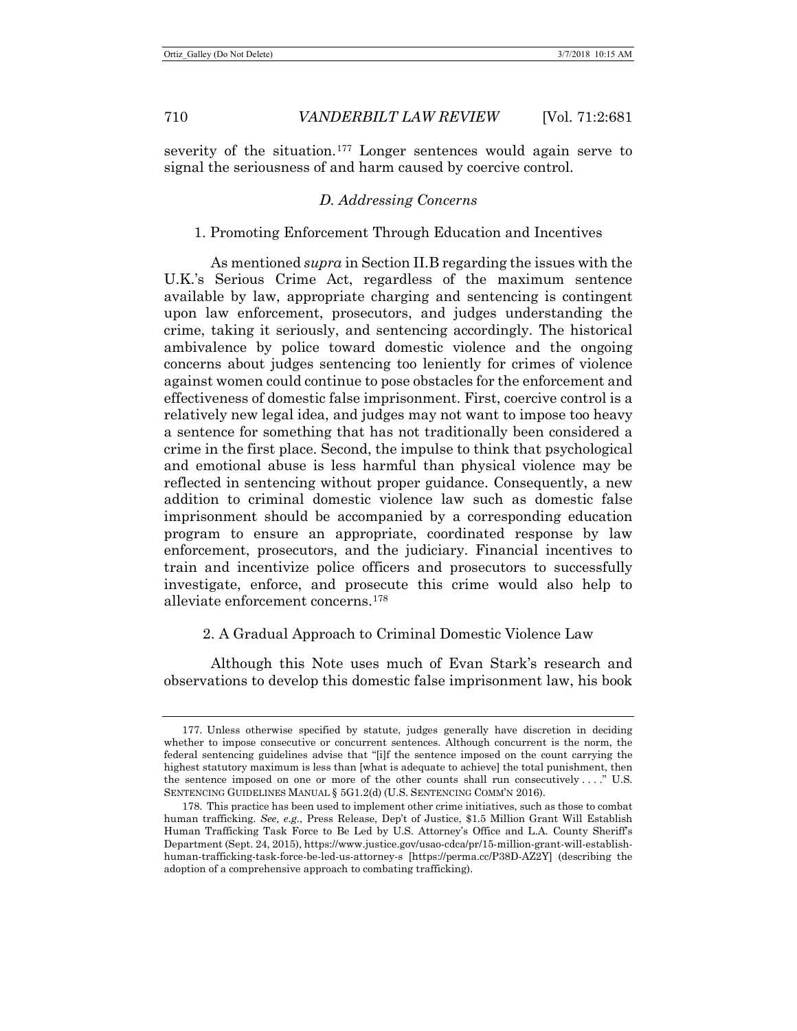severity of the situation.<sup>[177](#page-29-0)</sup> Longer sentences would again serve to signal the seriousness of and harm caused by coercive control.

## *D. Addressing Concerns*

## 1. Promoting Enforcement Through Education and Incentives

As mentioned *supra* in Section II.B regarding the issues with the U.K.'s Serious Crime Act, regardless of the maximum sentence available by law, appropriate charging and sentencing is contingent upon law enforcement, prosecutors, and judges understanding the crime, taking it seriously, and sentencing accordingly. The historical ambivalence by police toward domestic violence and the ongoing concerns about judges sentencing too leniently for crimes of violence against women could continue to pose obstacles for the enforcement and effectiveness of domestic false imprisonment. First, coercive control is a relatively new legal idea, and judges may not want to impose too heavy a sentence for something that has not traditionally been considered a crime in the first place. Second, the impulse to think that psychological and emotional abuse is less harmful than physical violence may be reflected in sentencing without proper guidance. Consequently, a new addition to criminal domestic violence law such as domestic false imprisonment should be accompanied by a corresponding education program to ensure an appropriate, coordinated response by law enforcement, prosecutors, and the judiciary. Financial incentives to train and incentivize police officers and prosecutors to successfully investigate, enforce, and prosecute this crime would also help to alleviate enforcement concerns.[178](#page-29-1)

#### 2. A Gradual Approach to Criminal Domestic Violence Law

Although this Note uses much of Evan Stark's research and observations to develop this domestic false imprisonment law, his book

<span id="page-29-0"></span><sup>177.</sup> Unless otherwise specified by statute, judges generally have discretion in deciding whether to impose consecutive or concurrent sentences. Although concurrent is the norm, the federal sentencing guidelines advise that "[i]f the sentence imposed on the count carrying the highest statutory maximum is less than [what is adequate to achieve] the total punishment, then the sentence imposed on one or more of the other counts shall run consecutively . . . ." U.S. SENTENCING GUIDELINES MANUAL § 5G1.2(d) (U.S. SENTENCING COMM'N 2016).

<span id="page-29-1"></span><sup>178.</sup> This practice has been used to implement other crime initiatives, such as those to combat human trafficking. *See, e.g.*, Press Release, Dep't of Justice, \$1.5 Million Grant Will Establish Human Trafficking Task Force to Be Led by U.S. Attorney's Office and L.A. County Sheriff's Department (Sept. 24, 2015), https://www.justice.gov/usao-cdca/pr/15-million-grant-will-establishhuman-trafficking-task-force-be-led-us-attorney-s [https://perma.cc/P38D-AZ2Y] (describing the adoption of a comprehensive approach to combating trafficking).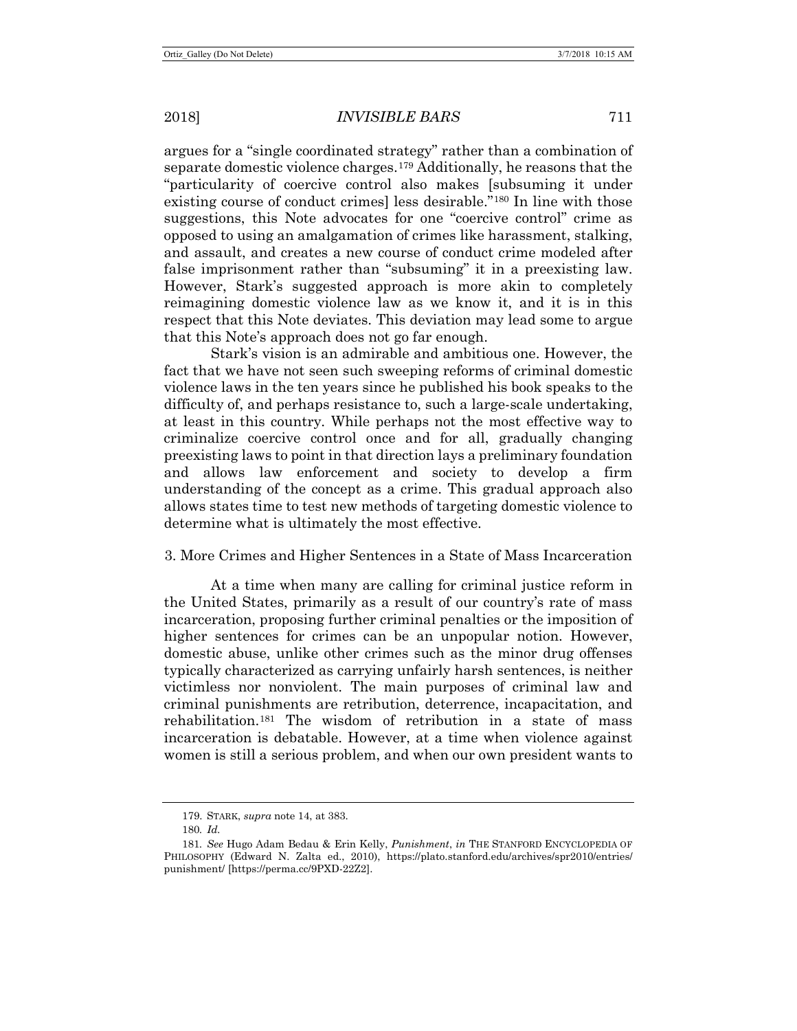argues for a "single coordinated strategy" rather than a combination of separate domestic violence charges.[179](#page-30-0) Additionally, he reasons that the "particularity of coercive control also makes [subsuming it under existing course of conduct crimes] less desirable."[180](#page-30-1) In line with those suggestions, this Note advocates for one "coercive control" crime as opposed to using an amalgamation of crimes like harassment, stalking, and assault, and creates a new course of conduct crime modeled after false imprisonment rather than "subsuming" it in a preexisting law. However, Stark's suggested approach is more akin to completely reimagining domestic violence law as we know it, and it is in this respect that this Note deviates. This deviation may lead some to argue that this Note's approach does not go far enough.

Stark's vision is an admirable and ambitious one. However, the fact that we have not seen such sweeping reforms of criminal domestic violence laws in the ten years since he published his book speaks to the difficulty of, and perhaps resistance to, such a large-scale undertaking, at least in this country. While perhaps not the most effective way to criminalize coercive control once and for all, gradually changing preexisting laws to point in that direction lays a preliminary foundation and allows law enforcement and society to develop a firm understanding of the concept as a crime. This gradual approach also allows states time to test new methods of targeting domestic violence to determine what is ultimately the most effective.

#### 3. More Crimes and Higher Sentences in a State of Mass Incarceration

At a time when many are calling for criminal justice reform in the United States, primarily as a result of our country's rate of mass incarceration, proposing further criminal penalties or the imposition of higher sentences for crimes can be an unpopular notion. However, domestic abuse, unlike other crimes such as the minor drug offenses typically characterized as carrying unfairly harsh sentences, is neither victimless nor nonviolent. The main purposes of criminal law and criminal punishments are retribution, deterrence, incapacitation, and rehabilitation.[181](#page-30-2) The wisdom of retribution in a state of mass incarceration is debatable. However, at a time when violence against women is still a serious problem, and when our own president wants to

<sup>179.</sup> STARK, *supra* note [14,](#page-4-8) at 383.

<sup>180</sup>*. Id.*

<span id="page-30-2"></span><span id="page-30-1"></span><span id="page-30-0"></span><sup>181</sup>*. See* Hugo Adam Bedau & Erin Kelly, *Punishment*, *in* THE STANFORD ENCYCLOPEDIA OF PHILOSOPHY (Edward N. Zalta ed., 2010), https://plato.stanford.edu/archives/spr2010/entries/ punishment/ [https://perma.cc/9PXD-22Z2].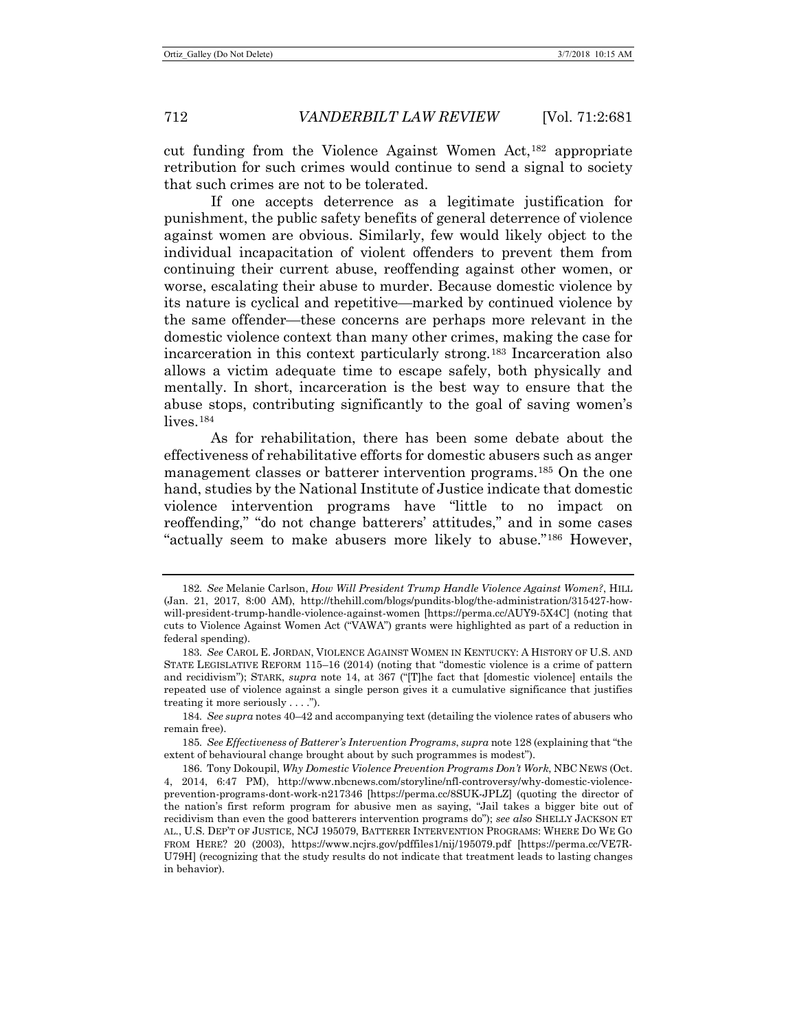cut funding from the Violence Against Women Act,[182](#page-31-1) appropriate retribution for such crimes would continue to send a signal to society that such crimes are not to be tolerated.

If one accepts deterrence as a legitimate justification for punishment, the public safety benefits of general deterrence of violence against women are obvious. Similarly, few would likely object to the individual incapacitation of violent offenders to prevent them from continuing their current abuse, reoffending against other women, or worse, escalating their abuse to murder. Because domestic violence by its nature is cyclical and repetitive—marked by continued violence by the same offender—these concerns are perhaps more relevant in the domestic violence context than many other crimes, making the case for incarceration in this context particularly strong.[183](#page-31-2) Incarceration also allows a victim adequate time to escape safely, both physically and mentally. In short, incarceration is the best way to ensure that the abuse stops, contributing significantly to the goal of saving women's lives.<sup>[184](#page-31-3)</sup>

<span id="page-31-0"></span>As for rehabilitation, there has been some debate about the effectiveness of rehabilitative efforts for domestic abusers such as anger management classes or batterer intervention programs.[185](#page-31-4) On the one hand, studies by the National Institute of Justice indicate that domestic violence intervention programs have "little to no impact on reoffending," "do not change batterers' attitudes," and in some cases "actually seem to make abusers more likely to abuse."[186](#page-31-5) However,

<span id="page-31-3"></span>184*. See supra* note[s 40](#page-7-7)[–42](#page-8-10) and accompanying text (detailing the violence rates of abusers who remain free).

<span id="page-31-4"></span>185*. See Effectiveness of Batterer's Intervention Programs*, *supra* not[e 128](#page-19-5) (explaining that "the extent of behavioural change brought about by such programmes is modest").

<span id="page-31-6"></span><span id="page-31-1"></span><sup>182</sup>*. See* Melanie Carlson, *How Will President Trump Handle Violence Against Women?*, HILL (Jan. 21, 2017, 8:00 AM), http://thehill.com/blogs/pundits-blog/the-administration/315427-howwill-president-trump-handle-violence-against-women [https://perma.cc/AUY9-5X4C] (noting that cuts to Violence Against Women Act ("VAWA") grants were highlighted as part of a reduction in federal spending).

<span id="page-31-2"></span><sup>183</sup>*. See* CAROL E. JORDAN, VIOLENCE AGAINST WOMEN IN KENTUCKY: A HISTORY OF U.S. AND STATE LEGISLATIVE REFORM 115–16 (2014) (noting that "domestic violence is a crime of pattern and recidivism"); STARK, *supra* note [14,](#page-4-8) at 367 ("[T]he fact that [domestic violence] entails the repeated use of violence against a single person gives it a cumulative significance that justifies treating it more seriously . . . .").

<span id="page-31-5"></span><sup>186.</sup> Tony Dokoupil, *Why Domestic Violence Prevention Programs Don't Work*, NBC NEWS (Oct. 4, 2014, 6:47 PM), http://www.nbcnews.com/storyline/nfl-controversy/why-domestic-violenceprevention-programs-dont-work-n217346 [https://perma.cc/8SUK-JPLZ] (quoting the director of the nation's first reform program for abusive men as saying, "Jail takes a bigger bite out of recidivism than even the good batterers intervention programs do"); *see also* SHELLY JACKSON ET AL., U.S. DEP'T OF JUSTICE, NCJ 195079, BATTERER INTERVENTION PROGRAMS: WHERE DO WE GO FROM HERE? 20 (2003), https://www.ncjrs.gov/pdffiles1/nij/195079.pdf [https://perma.cc/VE7R-U79H] (recognizing that the study results do not indicate that treatment leads to lasting changes in behavior).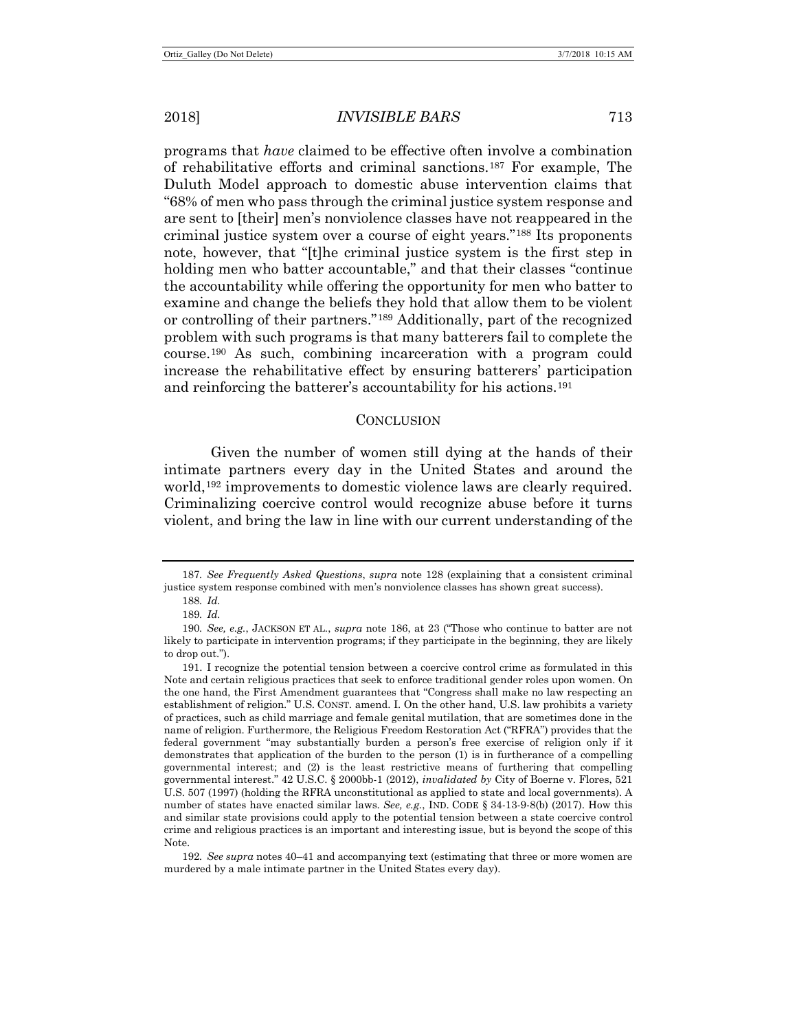2018] *INVISIBLE BARS* 713

programs that *have* claimed to be effective often involve a combination of rehabilitative efforts and criminal sanctions.[187](#page-32-0) For example, The Duluth Model approach to domestic abuse intervention claims that "68% of men who pass through the criminal justice system response and are sent to [their] men's nonviolence classes have not reappeared in the criminal justice system over a course of eight years."[188](#page-32-1) Its proponents note, however, that "[t]he criminal justice system is the first step in holding men who batter accountable," and that their classes "continue the accountability while offering the opportunity for men who batter to examine and change the beliefs they hold that allow them to be violent or controlling of their partners."[189](#page-32-2) Additionally, part of the recognized problem with such programs is that many batterers fail to complete the course.[190](#page-32-3) As such, combining incarceration with a program could increase the rehabilitative effect by ensuring batterers' participation and reinforcing the batterer's accountability for his actions.[191](#page-32-4)

#### **CONCLUSION**

Given the number of women still dying at the hands of their intimate partners every day in the United States and around the world,[192](#page-32-5) improvements to domestic violence laws are clearly required. Criminalizing coercive control would recognize abuse before it turns violent, and bring the law in line with our current understanding of the

<span id="page-32-5"></span>192*. See supra* notes [40](#page-7-7)[–41](#page-8-11) and accompanying text (estimating that three or more women are murdered by a male intimate partner in the United States every day).

<span id="page-32-1"></span><span id="page-32-0"></span><sup>187</sup>*. See Frequently Asked Questions*, *supra* note [128](#page-19-5) (explaining that a consistent criminal justice system response combined with men's nonviolence classes has shown great success).

<sup>188</sup>*. Id.*

<sup>189</sup>*. Id.*

<span id="page-32-3"></span><span id="page-32-2"></span><sup>190</sup>*. See, e.g.*, JACKSON ET AL., *supra* note [186,](#page-31-6) at 23 ("Those who continue to batter are not likely to participate in intervention programs; if they participate in the beginning, they are likely to drop out.").

<span id="page-32-4"></span><sup>191.</sup> I recognize the potential tension between a coercive control crime as formulated in this Note and certain religious practices that seek to enforce traditional gender roles upon women. On the one hand, the First Amendment guarantees that "Congress shall make no law respecting an establishment of religion." U.S. CONST. amend. I. On the other hand, U.S. law prohibits a variety of practices, such as child marriage and female genital mutilation, that are sometimes done in the name of religion. Furthermore, the Religious Freedom Restoration Act ("RFRA") provides that the federal government "may substantially burden a person's free exercise of religion only if it demonstrates that application of the burden to the person (1) is in furtherance of a compelling governmental interest; and (2) is the least restrictive means of furthering that compelling governmental interest." 42 U.S.C. § 2000bb-1 (2012), *invalidated by* City of Boerne v. Flores, 521 U.S. 507 (1997) (holding the RFRA unconstitutional as applied to state and local governments). A number of states have enacted similar laws. *See, e.g.*, IND. CODE § 34-13-9-8(b) (2017). How this and similar state provisions could apply to the potential tension between a state coercive control crime and religious practices is an important and interesting issue, but is beyond the scope of this Note.